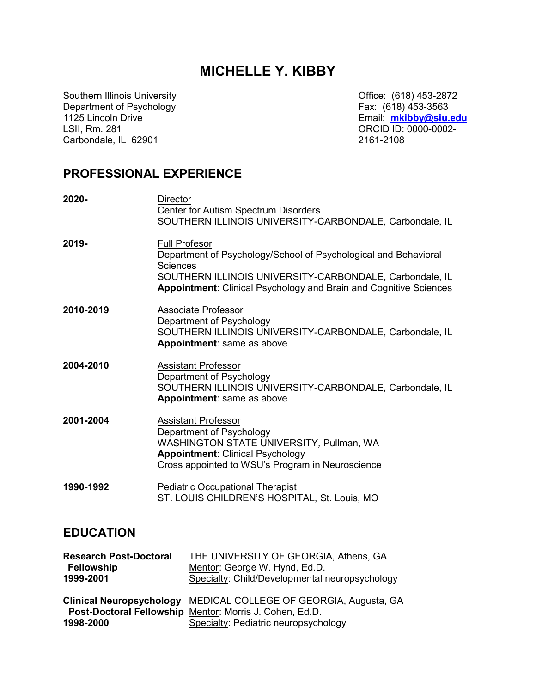# MICHELLE Y. KIBBY

Southern Illinois University Department of Psychology 1125 Lincoln Drive LSII, Rm. 281 Carbondale, IL 62901

Office: (618) 453-2872 Fax: (618) 453-3563 Email: mkibby@siu.edu ORCID ID: 0000-0002- 2161-2108

## PROFESSIONAL EXPERIENCE

| 2020-     | <b>Director</b><br><b>Center for Autism Spectrum Disorders</b><br>SOUTHERN ILLINOIS UNIVERSITY-CARBONDALE, Carbondale, IL                                                                                                                  |
|-----------|--------------------------------------------------------------------------------------------------------------------------------------------------------------------------------------------------------------------------------------------|
| 2019-     | <b>Full Profesor</b><br>Department of Psychology/School of Psychological and Behavioral<br><b>Sciences</b><br>SOUTHERN ILLINOIS UNIVERSITY-CARBONDALE, Carbondale, IL<br>Appointment: Clinical Psychology and Brain and Cognitive Sciences |
| 2010-2019 | <b>Associate Professor</b><br>Department of Psychology<br>SOUTHERN ILLINOIS UNIVERSITY-CARBONDALE, Carbondale, IL<br>Appointment: same as above                                                                                            |
| 2004-2010 | <b>Assistant Professor</b><br>Department of Psychology<br>SOUTHERN ILLINOIS UNIVERSITY-CARBONDALE, Carbondale, IL<br>Appointment: same as above                                                                                            |
| 2001-2004 | <b>Assistant Professor</b><br>Department of Psychology<br>WASHINGTON STATE UNIVERSITY, Pullman, WA<br><b>Appointment: Clinical Psychology</b><br>Cross appointed to WSU's Program in Neuroscience                                          |
| 1990-1992 | <b>Pediatric Occupational Therapist</b><br>ST. LOUIS CHILDREN'S HOSPITAL, St. Louis, MO                                                                                                                                                    |

## EDUCATION

| <b>Research Post-Doctoral</b> | THE UNIVERSITY OF GEORGIA, Athens, GA                            |
|-------------------------------|------------------------------------------------------------------|
| <b>Fellowship</b>             | Mentor: George W. Hynd, Ed.D.                                    |
| 1999-2001                     | Specialty: Child/Developmental neuropsychology                   |
|                               |                                                                  |
|                               | Clinical Neuropsychology MEDICAL COLLEGE OF GEORGIA, Augusta, GA |
|                               | Post-Doctoral Fellowship Mentor: Morris J. Cohen, Ed.D.          |
| 1998-2000                     | Specialty: Pediatric neuropsychology                             |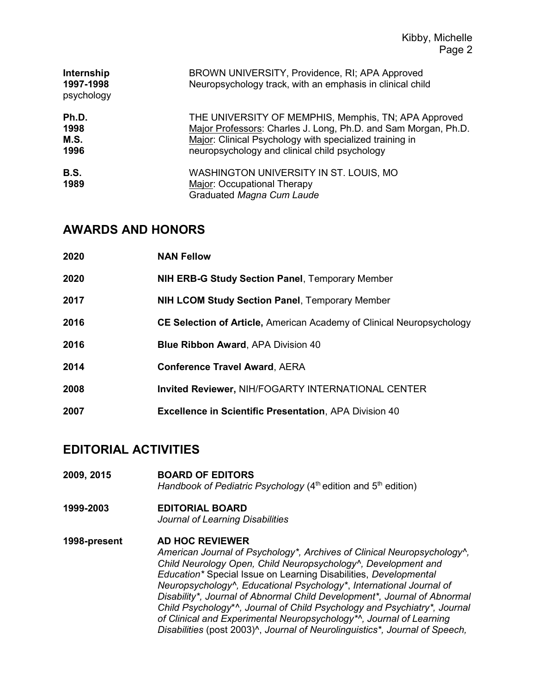| Internship<br>1997-1998<br>psychology | BROWN UNIVERSITY, Providence, RI; APA Approved<br>Neuropsychology track, with an emphasis in clinical child                                                                                                                        |
|---------------------------------------|------------------------------------------------------------------------------------------------------------------------------------------------------------------------------------------------------------------------------------|
| Ph.D.<br>1998<br>M.S.<br>1996         | THE UNIVERSITY OF MEMPHIS, Memphis, TN; APA Approved<br>Major Professors: Charles J. Long, Ph.D. and Sam Morgan, Ph.D.<br>Major: Clinical Psychology with specialized training in<br>neuropsychology and clinical child psychology |
| <b>B.S.</b><br>1989                   | WASHINGTON UNIVERSITY IN ST. LOUIS, MO<br>Major: Occupational Therapy<br>Graduated Magna Cum Laude                                                                                                                                 |

## AWARDS AND HONORS

| 2020 | <b>NAN Fellow</b>                                                            |
|------|------------------------------------------------------------------------------|
| 2020 | <b>NIH ERB-G Study Section Panel, Temporary Member</b>                       |
| 2017 | <b>NIH LCOM Study Section Panel, Temporary Member</b>                        |
| 2016 | <b>CE Selection of Article, American Academy of Clinical Neuropsychology</b> |
| 2016 | <b>Blue Ribbon Award, APA Division 40</b>                                    |
| 2014 | <b>Conference Travel Award, AERA</b>                                         |
| 2008 | <b>Invited Reviewer, NIH/FOGARTY INTERNATIONAL CENTER</b>                    |
| 2007 | <b>Excellence in Scientific Presentation, APA Division 40</b>                |

# EDITORIAL ACTIVITIES

- 2009, 2015 BOARD OF EDITORS Handbook of Pediatric Psychology  $(4<sup>th</sup>$  edition and  $5<sup>th</sup>$  edition)
- 1999-2003 EDITORIAL BOARD Journal of Learning Disabilities
- 1998-present AD HOC REVIEWER American Journal of Psychology\*, Archives of Clinical Neuropsychology^, Child Neurology Open, Child Neuropsychology^, Development and Education\* Special Issue on Learning Disabilities, Developmental Neuropsychology^, Educational Psychology\*, International Journal of Disability\*, Journal of Abnormal Child Development\*, Journal of Abnormal Child Psychology\*^, Journal of Child Psychology and Psychiatry\*, Journal of Clinical and Experimental Neuropsychology\*^, Journal of Learning Disabilities (post 2003)^, Journal of Neurolinguistics\*, Journal of Speech,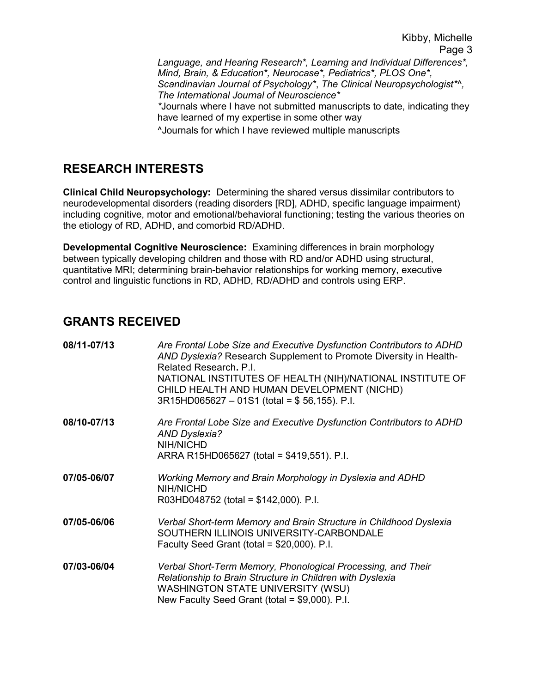Language, and Hearing Research\*, Learning and Individual Differences\*, Mind, Brain, & Education\*, Neurocase\*, Pediatrics\*, PLOS One\*, Scandinavian Journal of Psychology\*, The Clinical Neuropsychologist\*^, The International Journal of Neuroscience\*

\*Journals where I have not submitted manuscripts to date, indicating they have learned of my expertise in some other way

^Journals for which I have reviewed multiple manuscripts

# RESEARCH INTERESTS

Clinical Child Neuropsychology: Determining the shared versus dissimilar contributors to neurodevelopmental disorders (reading disorders [RD], ADHD, specific language impairment) including cognitive, motor and emotional/behavioral functioning; testing the various theories on the etiology of RD, ADHD, and comorbid RD/ADHD.

Developmental Cognitive Neuroscience: Examining differences in brain morphology between typically developing children and those with RD and/or ADHD using structural, quantitative MRI; determining brain-behavior relationships for working memory, executive control and linguistic functions in RD, ADHD, RD/ADHD and controls using ERP.

## GRANTS RECEIVED

| 08/11-07/13 | Are Frontal Lobe Size and Executive Dysfunction Contributors to ADHD<br>AND Dyslexia? Research Supplement to Promote Diversity in Health-<br>Related Research, P.I.<br>NATIONAL INSTITUTES OF HEALTH (NIH)/NATIONAL INSTITUTE OF<br>CHILD HEALTH AND HUMAN DEVELOPMENT (NICHD)<br>$3R15HD065627 - 01S1$ (total = \$56,155). P.I. |
|-------------|----------------------------------------------------------------------------------------------------------------------------------------------------------------------------------------------------------------------------------------------------------------------------------------------------------------------------------|
| 08/10-07/13 | Are Frontal Lobe Size and Executive Dysfunction Contributors to ADHD<br><b>AND Dyslexia?</b><br>NIH/NICHD<br>ARRA R15HD065627 (total = \$419,551). P.I.                                                                                                                                                                          |
| 07/05-06/07 | Working Memory and Brain Morphology in Dyslexia and ADHD<br>NIH/NICHD<br>R03HD048752 (total = $$142,000$ ). P.I.                                                                                                                                                                                                                 |
| 07/05-06/06 | Verbal Short-term Memory and Brain Structure in Childhood Dyslexia<br>SOUTHERN ILLINOIS UNIVERSITY-CARBONDALE<br>Faculty Seed Grant (total = $$20,000$ ). P.I.                                                                                                                                                                   |
| 07/03-06/04 | Verbal Short-Term Memory, Phonological Processing, and Their<br>Relationship to Brain Structure in Children with Dyslexia<br><b>WASHINGTON STATE UNIVERSITY (WSU)</b><br>New Faculty Seed Grant (total = \$9,000). P.I.                                                                                                          |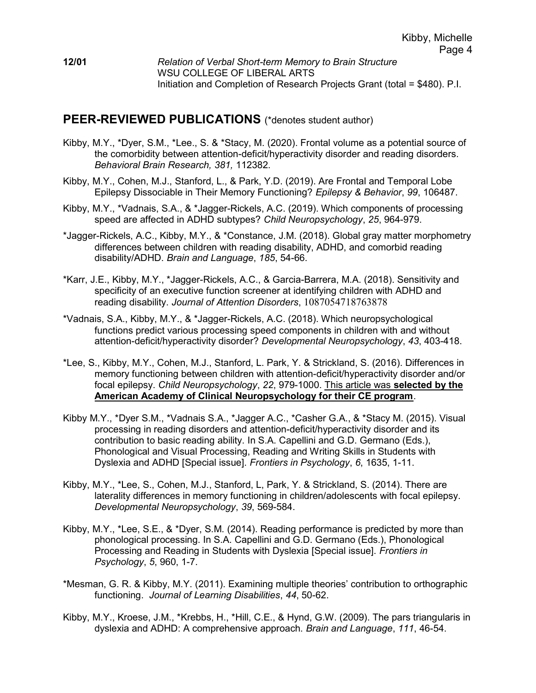### PEER-REVIEWED PUBLICATIONS (\*denotes student author)

- Kibby, M.Y., \*Dyer, S.M., \*Lee., S. & \*Stacy, M. (2020). Frontal volume as a potential source of the comorbidity between attention-deficit/hyperactivity disorder and reading disorders. Behavioral Brain Research, 381, 112382.
- Kibby, M.Y., Cohen, M.J., Stanford, L., & Park, Y.D. (2019). Are Frontal and Temporal Lobe Epilepsy Dissociable in Their Memory Functioning? Epilepsy & Behavior, 99, 106487.
- Kibby, M.Y., \*Vadnais, S.A., & \*Jagger-Rickels, A.C. (2019). Which components of processing speed are affected in ADHD subtypes? Child Neuropsychology, 25, 964-979.
- \*Jagger-Rickels, A.C., Kibby, M.Y., & \*Constance, J.M. (2018). Global gray matter morphometry differences between children with reading disability, ADHD, and comorbid reading disability/ADHD. Brain and Language, 185, 54-66.
- \*Karr, J.E., Kibby, M.Y., \*Jagger-Rickels, A.C., & Garcia-Barrera, M.A. (2018). Sensitivity and specificity of an executive function screener at identifying children with ADHD and reading disability. Journal of Attention Disorders, 1087054718763878
- \*Vadnais, S.A., Kibby, M.Y., & \*Jagger-Rickels, A.C. (2018). Which neuropsychological functions predict various processing speed components in children with and without attention-deficit/hyperactivity disorder? Developmental Neuropsychology, 43, 403-418.
- \*Lee, S., Kibby, M.Y., Cohen, M.J., Stanford, L. Park, Y. & Strickland, S. (2016). Differences in memory functioning between children with attention-deficit/hyperactivity disorder and/or focal epilepsy. Child Neuropsychology, 22, 979-1000. This article was selected by the American Academy of Clinical Neuropsychology for their CE program.
- Kibby M.Y., \*Dyer S.M., \*Vadnais S.A., \*Jagger A.C., \*Casher G.A., & \*Stacy M. (2015). Visual processing in reading disorders and attention-deficit/hyperactivity disorder and its contribution to basic reading ability. In S.A. Capellini and G.D. Germano (Eds.), Phonological and Visual Processing, Reading and Writing Skills in Students with Dyslexia and ADHD [Special issue]. Frontiers in Psychology, 6, 1635, 1-11.
- Kibby, M.Y., \*Lee, S., Cohen, M.J., Stanford, L, Park, Y. & Strickland, S. (2014). There are laterality differences in memory functioning in children/adolescents with focal epilepsy. Developmental Neuropsychology, 39, 569-584.
- Kibby, M.Y., \*Lee, S.E., & \*Dyer, S.M. (2014). Reading performance is predicted by more than phonological processing. In S.A. Capellini and G.D. Germano (Eds.), Phonological Processing and Reading in Students with Dyslexia [Special issue]. Frontiers in Psychology, 5, 960, 1-7.
- \*Mesman, G. R. & Kibby, M.Y. (2011). Examining multiple theories' contribution to orthographic functioning. Journal of Learning Disabilities, 44, 50-62.
- Kibby, M.Y., Kroese, J.M., \*Krebbs, H., \*Hill, C.E., & Hynd, G.W. (2009). The pars triangularis in dyslexia and ADHD: A comprehensive approach. Brain and Language, 111, 46-54.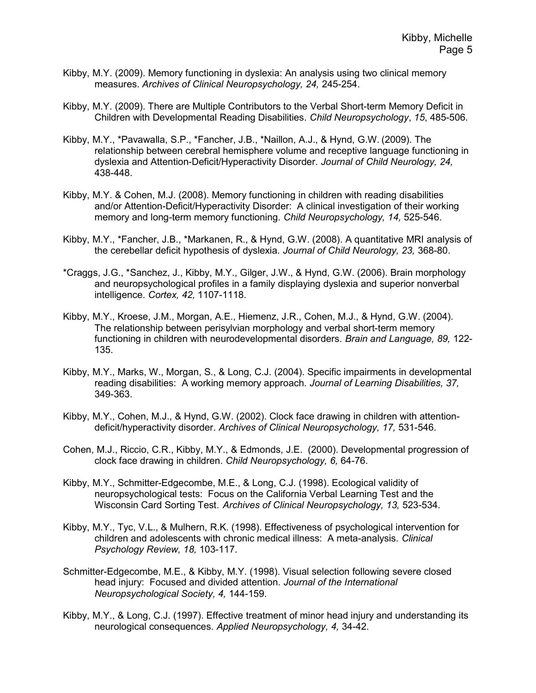- Kibby, M.Y. (2009). Memory functioning in dyslexia: An analysis using two clinical memory measures. Archives of Clinical Neuropsychology, 24, 245-254.
- Kibby, M.Y. (2009). There are Multiple Contributors to the Verbal Short-term Memory Deficit in Children with Developmental Reading Disabilities. Child Neuropsychology, 15, 485-506.
- Kibby, M.Y., \*Pavawalla, S.P., \*Fancher, J.B., \*Naillon, A.J., & Hynd, G.W. (2009). The relationship between cerebral hemisphere volume and receptive language functioning in dyslexia and Attention-Deficit/Hyperactivity Disorder. Journal of Child Neurology, 24, 438-448.
- Kibby, M.Y. & Cohen, M.J. (2008). Memory functioning in children with reading disabilities and/or Attention-Deficit/Hyperactivity Disorder: A clinical investigation of their working memory and long-term memory functioning. Child Neuropsychology, 14, 525-546.
- Kibby, M.Y., \*Fancher, J.B., \*Markanen, R., & Hynd, G.W. (2008). A quantitative MRI analysis of the cerebellar deficit hypothesis of dyslexia. Journal of Child Neurology, 23, 368-80.
- \*Craggs, J.G., \*Sanchez, J., Kibby, M.Y., Gilger, J.W., & Hynd, G.W. (2006). Brain morphology and neuropsychological profiles in a family displaying dyslexia and superior nonverbal intelligence. Cortex, 42, 1107-1118.
- Kibby, M.Y., Kroese, J.M., Morgan, A.E., Hiemenz, J.R., Cohen, M.J., & Hynd, G.W. (2004). The relationship between perisylvian morphology and verbal short-term memory functioning in children with neurodevelopmental disorders. *Brain and Language, 89,* 122-135.
- Kibby, M.Y., Marks, W., Morgan, S., & Long, C.J. (2004). Specific impairments in developmental reading disabilities: A working memory approach. Journal of Learning Disabilities, 37, 349-363.
- Kibby, M.Y., Cohen, M.J., & Hynd, G.W. (2002). Clock face drawing in children with attentiondeficit/hyperactivity disorder. Archives of Clinical Neuropsychology, 17, 531-546.
- Cohen, M.J., Riccio, C.R., Kibby, M.Y., & Edmonds, J.E. (2000). Developmental progression of clock face drawing in children. Child Neuropsychology, 6, 64-76.
- Kibby, M.Y., Schmitter-Edgecombe, M.E., & Long, C.J. (1998). Ecological validity of neuropsychological tests: Focus on the California Verbal Learning Test and the Wisconsin Card Sorting Test. Archives of Clinical Neuropsychology, 13, 523-534.
- Kibby, M.Y., Tyc, V.L., & Mulhern, R.K. (1998). Effectiveness of psychological intervention for children and adolescents with chronic medical illness: A meta-analysis. Clinical Psychology Review, 18, 103-117.
- Schmitter-Edgecombe, M.E., & Kibby, M.Y. (1998). Visual selection following severe closed head injury: Focused and divided attention. Journal of the International Neuropsychological Society, 4, 144-159.
- Kibby, M.Y., & Long, C.J. (1997). Effective treatment of minor head injury and understanding its neurological consequences. Applied Neuropsychology, 4, 34-42.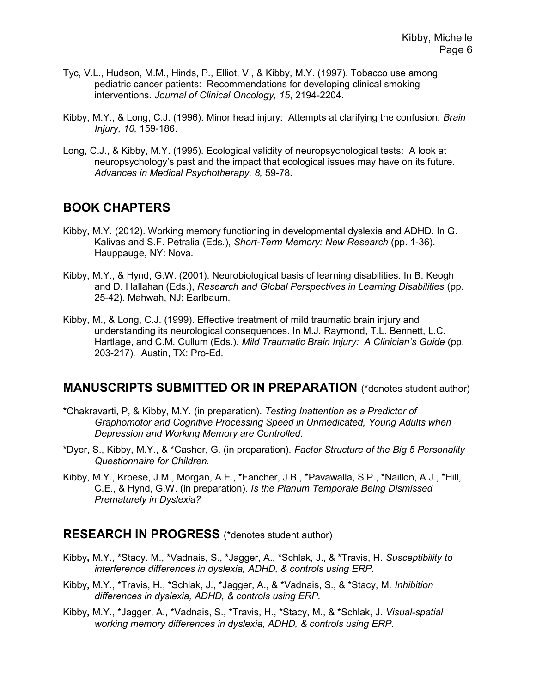- Tyc, V.L., Hudson, M.M., Hinds, P., Elliot, V., & Kibby, M.Y. (1997). Tobacco use among pediatric cancer patients: Recommendations for developing clinical smoking interventions. Journal of Clinical Oncology, 15, 2194-2204.
- Kibby, M.Y., & Long, C.J. (1996). Minor head injury: Attempts at clarifying the confusion. Brain Injury, 10, 159-186.
- Long, C.J., & Kibby, M.Y. (1995). Ecological validity of neuropsychological tests: A look at neuropsychology's past and the impact that ecological issues may have on its future. Advances in Medical Psychotherapy, 8, 59-78.

### BOOK CHAPTERS

- Kibby, M.Y. (2012). Working memory functioning in developmental dyslexia and ADHD. In G. Kalivas and S.F. Petralia (Eds.), Short-Term Memory: New Research (pp. 1-36). Hauppauge, NY: Nova.
- Kibby, M.Y., & Hynd, G.W. (2001). Neurobiological basis of learning disabilities. In B. Keogh and D. Hallahan (Eds.), Research and Global Perspectives in Learning Disabilities (pp. 25-42). Mahwah, NJ: Earlbaum.
- Kibby, M., & Long, C.J. (1999). Effective treatment of mild traumatic brain injury and understanding its neurological consequences. In M.J. Raymond, T.L. Bennett, L.C. Hartlage, and C.M. Cullum (Eds.), Mild Traumatic Brain Injury: A Clinician's Guide (pp. 203-217). Austin, TX: Pro-Ed.

### MANUSCRIPTS SUBMITTED OR IN PREPARATION (\*denotes student author)

- \*Chakravarti, P, & Kibby, M.Y. (in preparation). Testing Inattention as a Predictor of Graphomotor and Cognitive Processing Speed in Unmedicated, Young Adults when Depression and Working Memory are Controlled.
- \*Dyer, S., Kibby, M.Y., & \*Casher, G. (in preparation). Factor Structure of the Big 5 Personality Questionnaire for Children.
- Kibby, M.Y., Kroese, J.M., Morgan, A.E., \*Fancher, J.B., \*Pavawalla, S.P., \*Naillon, A.J., \*Hill, C.E., & Hynd, G.W. (in preparation). Is the Planum Temporale Being Dismissed Prematurely in Dyslexia?

#### RESEARCH IN PROGRESS (\*denotes student author)

- Kibby, M.Y., \*Stacy. M., \*Vadnais, S., \*Jagger, A., \*Schlak, J., & \*Travis, H. Susceptibility to interference differences in dyslexia, ADHD, & controls using ERP.
- Kibby, M.Y., \*Travis, H., \*Schlak, J., \*Jagger, A., & \*Vadnais, S., & \*Stacy, M. Inhibition differences in dyslexia, ADHD, & controls using ERP.
- Kibby, M.Y., \*Jagger, A., \*Vadnais, S., \*Travis, H., \*Stacy, M., & \*Schlak, J. Visual-spatial working memory differences in dyslexia, ADHD, & controls using ERP.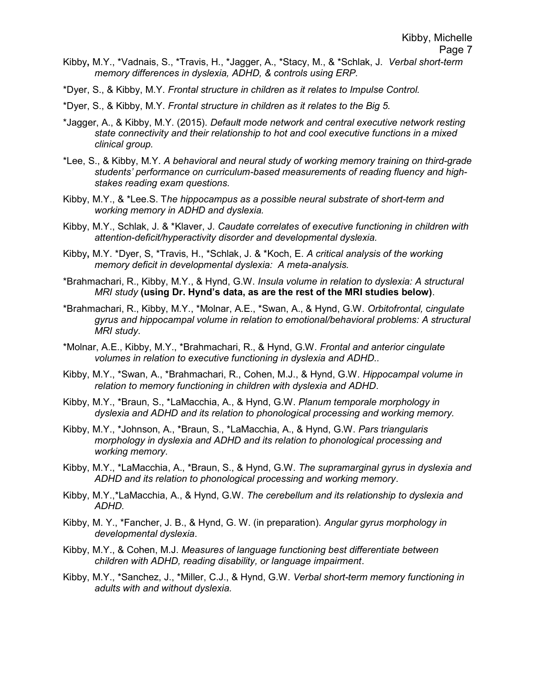- Kibby, M.Y., \*Vadnais, S., \*Travis, H., \*Jagger, A., \*Stacy, M., & \*Schlak, J. Verbal short-term memory differences in dyslexia, ADHD, & controls using ERP.
- \*Dyer, S., & Kibby, M.Y. Frontal structure in children as it relates to Impulse Control.
- \*Dyer, S., & Kibby, M.Y. Frontal structure in children as it relates to the Big 5.
- \*Jagger, A., & Kibby, M.Y. (2015). Default mode network and central executive network resting state connectivity and their relationship to hot and cool executive functions in a mixed clinical group.
- \*Lee, S., & Kibby, M.Y. A behavioral and neural study of working memory training on third-grade students' performance on curriculum-based measurements of reading fluency and highstakes reading exam questions.
- Kibby, M.Y., & \*Lee.S. The hippocampus as a possible neural substrate of short-term and working memory in ADHD and dyslexia.
- Kibby, M.Y., Schlak, J. & \*Klaver, J. Caudate correlates of executive functioning in children with attention-deficit/hyperactivity disorder and developmental dyslexia.
- Kibby, M.Y. \*Dyer, S, \*Travis, H., \*Schlak, J. & \*Koch, E. A critical analysis of the working memory deficit in developmental dyslexia: A meta-analysis.
- \*Brahmachari, R., Kibby, M.Y., & Hynd, G.W. Insula volume in relation to dyslexia: A structural MRI study (using Dr. Hynd's data, as are the rest of the MRI studies below).
- \*Brahmachari, R., Kibby, M.Y., \*Molnar, A.E., \*Swan, A., & Hynd, G.W. Orbitofrontal, cingulate gyrus and hippocampal volume in relation to emotional/behavioral problems: A structural MRI study.
- \*Molnar, A.E., Kibby, M.Y., \*Brahmachari, R., & Hynd, G.W. Frontal and anterior cingulate volumes in relation to executive functioning in dyslexia and ADHD..
- Kibby, M.Y., \*Swan, A., \*Brahmachari, R., Cohen, M.J., & Hynd, G.W. Hippocampal volume in relation to memory functioning in children with dyslexia and ADHD.
- Kibby, M.Y., \*Braun, S., \*LaMacchia, A., & Hynd, G.W. Planum temporale morphology in dyslexia and ADHD and its relation to phonological processing and working memory.
- Kibby, M.Y., \*Johnson, A., \*Braun, S., \*LaMacchia, A., & Hynd, G.W. Pars triangularis morphology in dyslexia and ADHD and its relation to phonological processing and working memory.
- Kibby, M.Y., \*LaMacchia, A., \*Braun, S., & Hynd, G.W. The supramarginal gyrus in dyslexia and ADHD and its relation to phonological processing and working memory.
- Kibby, M.Y.,\*LaMacchia, A., & Hynd, G.W. The cerebellum and its relationship to dyslexia and ADHD.
- Kibby, M. Y., \*Fancher, J. B., & Hynd, G. W. (in preparation). Angular gyrus morphology in developmental dyslexia.
- Kibby, M.Y., & Cohen, M.J. Measures of language functioning best differentiate between children with ADHD, reading disability, or language impairment.
- Kibby, M.Y., \*Sanchez, J., \*Miller, C.J., & Hynd, G.W. Verbal short-term memory functioning in adults with and without dyslexia.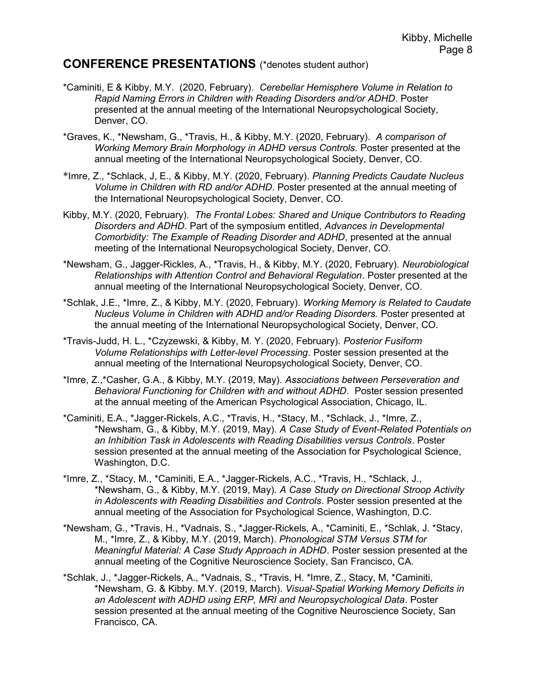### CONFERENCE PRESENTATIONS (\*denotes student author)

- \*Caminiti, E & Kibby, M.Y. (2020, February). Cerebellar Hemisphere Volume in Relation to Rapid Naming Errors in Children with Reading Disorders and/or ADHD. Poster presented at the annual meeting of the International Neuropsychological Society, Denver, CO.
- \*Graves, K., \*Newsham, G., \*Travis, H., & Kibby, M.Y. (2020, February). A comparison of Working Memory Brain Morphology in ADHD versus Controls. Poster presented at the annual meeting of the International Neuropsychological Society, Denver, CO.
- \*Imre, Z., \*Schlack, J, E., & Kibby, M.Y. (2020, February). Planning Predicts Caudate Nucleus Volume in Children with RD and/or ADHD. Poster presented at the annual meeting of the International Neuropsychological Society, Denver, CO.
- Kibby, M.Y. (2020, February). The Frontal Lobes: Shared and Unique Contributors to Reading Disorders and ADHD. Part of the symposium entitled, Advances in Developmental Comorbidity: The Example of Reading Disorder and ADHD, presented at the annual meeting of the International Neuropsychological Society, Denver, CO.
- \*Newsham, G., Jagger-Rickles, A., \*Travis, H., & Kibby, M.Y. (2020, February). Neurobiological Relationships with Attention Control and Behavioral Regulation. Poster presented at the annual meeting of the International Neuropsychological Society, Denver, CO.
- \*Schlak, J.E., \*Imre, Z., & Kibby, M.Y. (2020, February). Working Memory is Related to Caudate Nucleus Volume in Children with ADHD and/or Reading Disorders. Poster presented at the annual meeting of the International Neuropsychological Society, Denver, CO.
- \*Travis-Judd, H. L., \*Czyzewski, & Kibby, M. Y. (2020, February). Posterior Fusiform Volume Relationships with Letter-level Processing. Poster session presented at the annual meeting of the International Neuropsychological Society, Denver, CO.
- \*Imre, Z.,\*Casher, G.A., & Kibby, M.Y. (2019, May). Associations between Perseveration and Behavioral Functioning for Children with and without ADHD. Poster session presented at the annual meeting of the American Psychological Association, Chicago, IL.
- \*Caminiti, E.A., \*Jagger-Rickels, A.C., \*Travis, H., \*Stacy, M., \*Schlack, J., \*Imre, Z., \*Newsham, G., & Kibby, M.Y. (2019, May). A Case Study of Event-Related Potentials on an Inhibition Task in Adolescents with Reading Disabilities versus Controls. Poster session presented at the annual meeting of the Association for Psychological Science, Washington, D.C.
- \*Imre, Z., \*Stacy, M., \*Caminiti, E.A., \*Jagger-Rickels, A.C., \*Travis, H., \*Schlack, J., \*Newsham, G., & Kibby, M.Y. (2019, May). A Case Study on Directional Stroop Activity in Adolescents with Reading Disabilities and Controls. Poster session presented at the annual meeting of the Association for Psychological Science, Washington, D.C.
- \*Newsham, G., \*Travis, H., \*Vadnais, S., \*Jagger-Rickels, A., \*Caminiti, E., \*Schlak, J. \*Stacy, M., \*Imre, Z., & Kibby, M.Y. (2019, March). Phonological STM Versus STM for Meaningful Material: A Case Study Approach in ADHD. Poster session presented at the annual meeting of the Cognitive Neuroscience Society, San Francisco, CA.
- \*Schlak, J., \*Jagger-Rickels, A., \*Vadnais, S., \*Travis, H. \*Imre, Z., Stacy, M, \*Caminiti, \*Newsham, G. & Kibby. M.Y. (2019, March). Visual-Spatial Working Memory Deficits in an Adolescent with ADHD using ERP, MRI and Neuropsychological Data. Poster session presented at the annual meeting of the Cognitive Neuroscience Society, San Francisco, CA.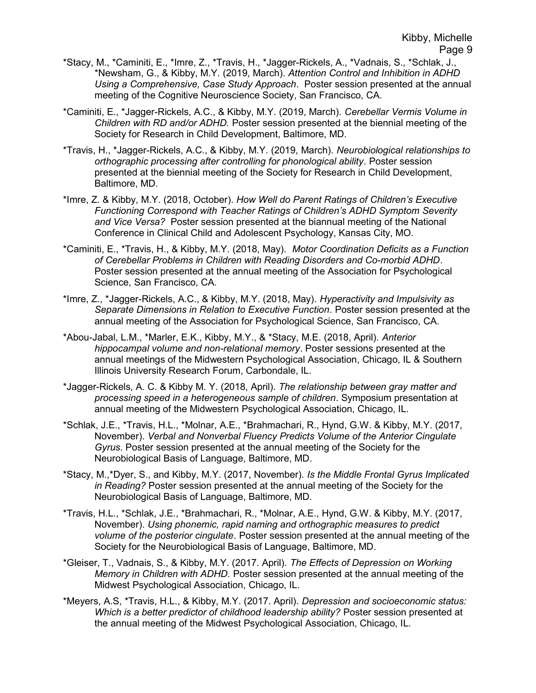- \*Stacy, M., \*Caminiti, E., \*Imre, Z., \*Travis, H., \*Jagger-Rickels, A., \*Vadnais, S., \*Schlak, J., \*Newsham, G., & Kibby, M.Y. (2019, March). Attention Control and Inhibition in ADHD Using a Comprehensive, Case Study Approach. Poster session presented at the annual meeting of the Cognitive Neuroscience Society, San Francisco, CA.
- \*Caminiti, E., \*Jagger-Rickels, A.C., & Kibby, M.Y. (2019, March). Cerebellar Vermis Volume in Children with RD and/or ADHD. Poster session presented at the biennial meeting of the Society for Research in Child Development, Baltimore, MD.
- \*Travis, H., \*Jagger-Rickels, A.C., & Kibby, M.Y. (2019, March). Neurobiological relationships to orthographic processing after controlling for phonological ability. Poster session presented at the biennial meeting of the Society for Research in Child Development, Baltimore, MD.
- \*Imre, Z. & Kibby, M.Y. (2018, October). How Well do Parent Ratings of Children's Executive Functioning Correspond with Teacher Ratings of Children's ADHD Symptom Severity and Vice Versa? Poster session presented at the biannual meeting of the National Conference in Clinical Child and Adolescent Psychology, Kansas City, MO.
- \*Caminiti, E., \*Travis, H., & Kibby, M.Y. (2018, May). Motor Coordination Deficits as a Function of Cerebellar Problems in Children with Reading Disorders and Co-morbid ADHD. Poster session presented at the annual meeting of the Association for Psychological Science, San Francisco, CA.
- \*Imre, Z., \*Jagger-Rickels, A.C., & Kibby, M.Y. (2018, May). Hyperactivity and Impulsivity as Separate Dimensions in Relation to Executive Function. Poster session presented at the annual meeting of the Association for Psychological Science, San Francisco, CA.
- \*Abou-Jabal, L.M., \*Marler, E.K., Kibby, M.Y., & \*Stacy, M.E. (2018, April). Anterior hippocampal volume and non-relational memory. Poster sessions presented at the annual meetings of the Midwestern Psychological Association, Chicago, IL & Southern Illinois University Research Forum, Carbondale, IL.
- \*Jagger-Rickels, A. C. & Kibby M. Y. (2018, April). The relationship between gray matter and processing speed in a heterogeneous sample of children. Symposium presentation at annual meeting of the Midwestern Psychological Association, Chicago, IL.
- \*Schlak, J.E., \*Travis, H.L., \*Molnar, A.E., \*Brahmachari, R., Hynd, G.W. & Kibby, M.Y. (2017, November). Verbal and Nonverbal Fluency Predicts Volume of the Anterior Cingulate Gyrus. Poster session presented at the annual meeting of the Society for the Neurobiological Basis of Language, Baltimore, MD.
- \*Stacy, M.,\*Dyer, S., and Kibby, M.Y. (2017, November). Is the Middle Frontal Gyrus Implicated in Reading? Poster session presented at the annual meeting of the Society for the Neurobiological Basis of Language, Baltimore, MD.
- \*Travis, H.L., \*Schlak, J.E., \*Brahmachari, R., \*Molnar, A.E., Hynd, G.W. & Kibby, M.Y. (2017, November). Using phonemic, rapid naming and orthographic measures to predict volume of the posterior cingulate. Poster session presented at the annual meeting of the Society for the Neurobiological Basis of Language, Baltimore, MD.
- \*Gleiser, T., Vadnais, S., & Kibby, M.Y. (2017. April). The Effects of Depression on Working Memory in Children with ADHD. Poster session presented at the annual meeting of the Midwest Psychological Association, Chicago, IL.
- \*Meyers, A.S, \*Travis, H.L., & Kibby, M.Y. (2017. April). Depression and socioeconomic status: Which is a better predictor of childhood leadership ability? Poster session presented at the annual meeting of the Midwest Psychological Association, Chicago, IL.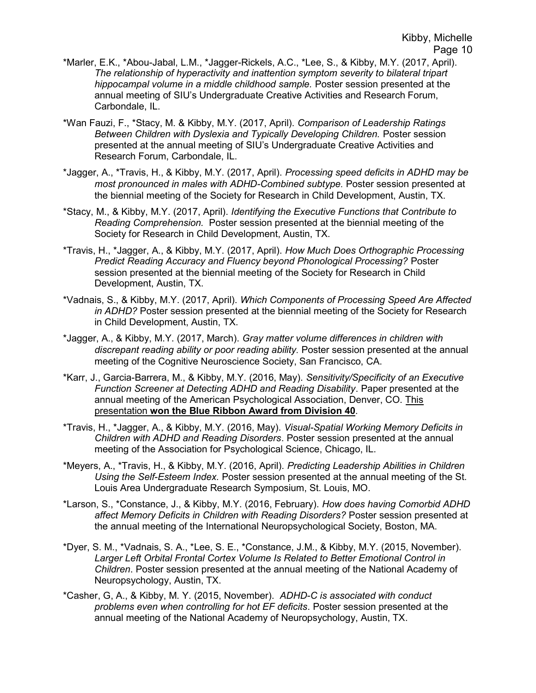- \*Marler, E.K., \*Abou-Jabal, L.M., \*Jagger-Rickels, A.C., \*Lee, S., & Kibby, M.Y. (2017, April). The relationship of hyperactivity and inattention symptom severity to bilateral tripart hippocampal volume in a middle childhood sample. Poster session presented at the annual meeting of SIU's Undergraduate Creative Activities and Research Forum, Carbondale, IL.
- \*Wan Fauzi, F., \*Stacy, M. & Kibby, M.Y. (2017, April). Comparison of Leadership Ratings Between Children with Dyslexia and Typically Developing Children. Poster session presented at the annual meeting of SIU's Undergraduate Creative Activities and Research Forum, Carbondale, IL.
- \*Jagger, A., \*Travis, H., & Kibby, M.Y. (2017, April). Processing speed deficits in ADHD may be most pronounced in males with ADHD-Combined subtype. Poster session presented at the biennial meeting of the Society for Research in Child Development, Austin, TX.
- \*Stacy, M., & Kibby, M.Y. (2017, April). Identifying the Executive Functions that Contribute to Reading Comprehension. Poster session presented at the biennial meeting of the Society for Research in Child Development, Austin, TX.
- \*Travis, H., \*Jagger, A., & Kibby, M.Y. (2017, April). How Much Does Orthographic Processing Predict Reading Accuracy and Fluency beyond Phonological Processing? Poster session presented at the biennial meeting of the Society for Research in Child Development, Austin, TX.
- \*Vadnais, S., & Kibby, M.Y. (2017, April). Which Components of Processing Speed Are Affected in ADHD? Poster session presented at the biennial meeting of the Society for Research in Child Development, Austin, TX.
- \*Jagger, A., & Kibby, M.Y. (2017, March). Gray matter volume differences in children with discrepant reading ability or poor reading ability. Poster session presented at the annual meeting of the Cognitive Neuroscience Society, San Francisco, CA.
- \*Karr, J., Garcia-Barrera, M., & Kibby, M.Y. (2016, May). Sensitivity/Specificity of an Executive Function Screener at Detecting ADHD and Reading Disability. Paper presented at the annual meeting of the American Psychological Association, Denver, CO. This presentation won the Blue Ribbon Award from Division 40.
- \*Travis, H., \*Jagger, A., & Kibby, M.Y. (2016, May). Visual-Spatial Working Memory Deficits in Children with ADHD and Reading Disorders. Poster session presented at the annual meeting of the Association for Psychological Science, Chicago, IL.
- \*Meyers, A., \*Travis, H., & Kibby, M.Y. (2016, April). Predicting Leadership Abilities in Children Using the Self-Esteem Index. Poster session presented at the annual meeting of the St. Louis Area Undergraduate Research Symposium, St. Louis, MO.
- \*Larson, S., \*Constance, J., & Kibby, M.Y. (2016, February). How does having Comorbid ADHD affect Memory Deficits in Children with Reading Disorders? Poster session presented at the annual meeting of the International Neuropsychological Society, Boston, MA.
- \*Dyer, S. M., \*Vadnais, S. A., \*Lee, S. E., \*Constance, J.M., & Kibby, M.Y. (2015, November). Larger Left Orbital Frontal Cortex Volume Is Related to Better Emotional Control in Children. Poster session presented at the annual meeting of the National Academy of Neuropsychology, Austin, TX.
- \*Casher, G, A., & Kibby, M. Y. (2015, November). ADHD-C is associated with conduct problems even when controlling for hot EF deficits. Poster session presented at the annual meeting of the National Academy of Neuropsychology, Austin, TX.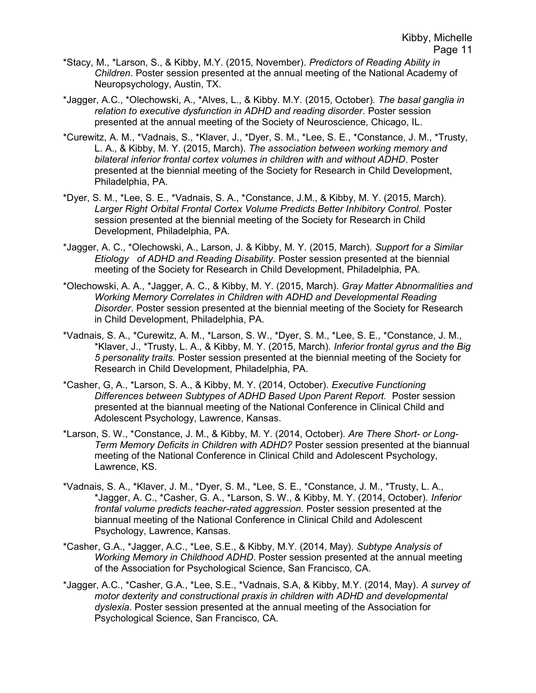- \*Stacy, M., \*Larson, S., & Kibby, M.Y. (2015, November). Predictors of Reading Ability in Children. Poster session presented at the annual meeting of the National Academy of Neuropsychology, Austin, TX.
- \*Jagger, A.C., \*Olechowski, A., \*Alves, L., & Kibby. M.Y. (2015, October). The basal ganglia in relation to executive dysfunction in ADHD and reading disorder. Poster session presented at the annual meeting of the Society of Neuroscience, Chicago, IL.
- \*Curewitz, A. M., \*Vadnais, S., \*Klaver, J., \*Dyer, S. M., \*Lee, S. E., \*Constance, J. M., \*Trusty, L. A., & Kibby, M. Y. (2015, March). The association between working memory and bilateral inferior frontal cortex volumes in children with and without ADHD. Poster presented at the biennial meeting of the Society for Research in Child Development, Philadelphia, PA.
- \*Dyer, S. M., \*Lee, S. E., \*Vadnais, S. A., \*Constance, J.M., & Kibby, M. Y. (2015, March). Larger Right Orbital Frontal Cortex Volume Predicts Better Inhibitory Control. Poster session presented at the biennial meeting of the Society for Research in Child Development, Philadelphia, PA.
- \*Jagger, A. C., \*Olechowski, A., Larson, J. & Kibby, M. Y. (2015, March). Support for a Similar Etiology of ADHD and Reading Disability. Poster session presented at the biennial meeting of the Society for Research in Child Development, Philadelphia, PA.
- \*Olechowski, A. A., \*Jagger, A. C., & Kibby, M. Y. (2015, March). Gray Matter Abnormalities and Working Memory Correlates in Children with ADHD and Developmental Reading Disorder. Poster session presented at the biennial meeting of the Society for Research in Child Development, Philadelphia, PA.
- \*Vadnais, S. A., \*Curewitz, A. M., \*Larson, S. W., \*Dyer, S. M., \*Lee, S. E., \*Constance, J. M., \*Klaver, J., \*Trusty, L. A., & Kibby, M. Y. (2015, March). Inferior frontal gyrus and the Big 5 personality traits. Poster session presented at the biennial meeting of the Society for Research in Child Development, Philadelphia, PA.
- \*Casher, G, A., \*Larson, S. A., & Kibby, M. Y. (2014, October). Executive Functioning Differences between Subtypes of ADHD Based Upon Parent Report. Poster session presented at the biannual meeting of the National Conference in Clinical Child and Adolescent Psychology, Lawrence, Kansas.
- \*Larson, S. W., \*Constance, J. M., & Kibby, M. Y. (2014, October). Are There Short- or Long-Term Memory Deficits in Children with ADHD? Poster session presented at the biannual meeting of the National Conference in Clinical Child and Adolescent Psychology, Lawrence, KS.
- \*Vadnais, S. A., \*Klaver, J. M., \*Dyer, S. M., \*Lee, S. E., \*Constance, J. M., \*Trusty, L. A., \*Jagger, A. C., \*Casher, G. A., \*Larson, S. W., & Kibby, M. Y. (2014, October). Inferior frontal volume predicts teacher-rated aggression. Poster session presented at the biannual meeting of the National Conference in Clinical Child and Adolescent Psychology, Lawrence, Kansas.
- \*Casher, G.A., \*Jagger, A.C., \*Lee, S.E., & Kibby, M.Y. (2014, May). Subtype Analysis of Working Memory in Childhood ADHD. Poster session presented at the annual meeting of the Association for Psychological Science, San Francisco, CA.
- \*Jagger, A.C., \*Casher, G.A., \*Lee, S.E., \*Vadnais, S.A, & Kibby, M.Y. (2014, May). A survey of motor dexterity and constructional praxis in children with ADHD and developmental dyslexia. Poster session presented at the annual meeting of the Association for Psychological Science, San Francisco, CA.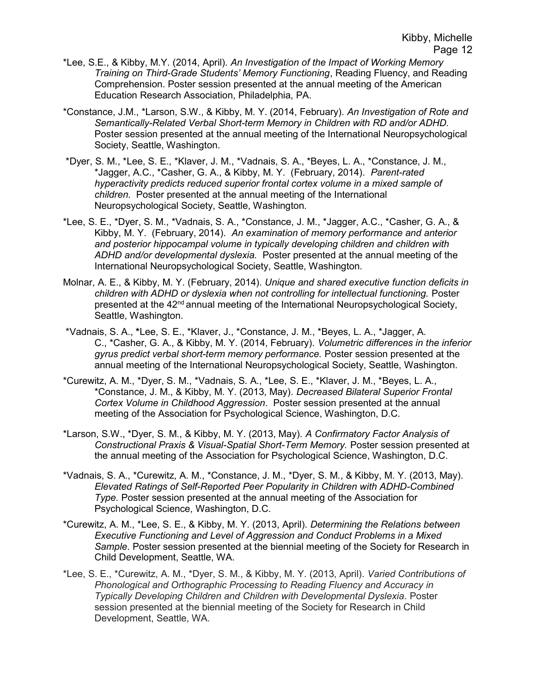- \*Lee, S.E., & Kibby, M.Y. (2014, April). An Investigation of the Impact of Working Memory Training on Third-Grade Students' Memory Functioning, Reading Fluency, and Reading Comprehension. Poster session presented at the annual meeting of the American Education Research Association, Philadelphia, PA.
- \*Constance, J.M., \*Larson, S.W., & Kibby, M. Y. (2014, February). An Investigation of Rote and Semantically-Related Verbal Short-term Memory in Children with RD and/or ADHD. Poster session presented at the annual meeting of the International Neuropsychological Society, Seattle, Washington.
- \*Dyer, S. M., \*Lee, S. E., \*Klaver, J. M., \*Vadnais, S. A., \*Beyes, L. A., \*Constance, J. M., \*Jagger, A.C., \*Casher, G. A., & Kibby, M. Y. (February, 2014). Parent-rated hyperactivity predicts reduced superior frontal cortex volume in a mixed sample of children. Poster presented at the annual meeting of the International Neuropsychological Society, Seattle, Washington.
- \*Lee, S. E., \*Dyer, S. M., \*Vadnais, S. A., \*Constance, J. M., \*Jagger, A.C., \*Casher, G. A., & Kibby, M. Y. (February, 2014). An examination of memory performance and anterior and posterior hippocampal volume in typically developing children and children with ADHD and/or developmental dyslexia. Poster presented at the annual meeting of the International Neuropsychological Society, Seattle, Washington.
- Molnar, A. E., & Kibby, M. Y. (February, 2014). Unique and shared executive function deficits in children with ADHD or dyslexia when not controlling for intellectual functioning. Poster presented at the 42<sup>nd</sup> annual meeting of the International Neuropsychological Society, Seattle, Washington.
- \*Vadnais, S. A., \*Lee, S. E., \*Klaver, J., \*Constance, J. M., \*Beyes, L. A., \*Jagger, A. C., \*Casher, G. A., & Kibby, M. Y. (2014, February). Volumetric differences in the inferior gyrus predict verbal short-term memory performance. Poster session presented at the annual meeting of the International Neuropsychological Society, Seattle, Washington.
- \*Curewitz, A. M., \*Dyer, S. M., \*Vadnais, S. A., \*Lee, S. E., \*Klaver, J. M., \*Beyes, L. A., \*Constance, J. M., & Kibby, M. Y. (2013, May). Decreased Bilateral Superior Frontal Cortex Volume in Childhood Aggression. Poster session presented at the annual meeting of the Association for Psychological Science, Washington, D.C.
- \*Larson, S.W., \*Dyer, S. M., & Kibby, M. Y. (2013, May). A Confirmatory Factor Analysis of Constructional Praxis & Visual-Spatial Short-Term Memory. Poster session presented at the annual meeting of the Association for Psychological Science, Washington, D.C.
- \*Vadnais, S. A., \*Curewitz, A. M., \*Constance, J. M., \*Dyer, S. M., & Kibby, M. Y. (2013, May). Elevated Ratings of Self-Reported Peer Popularity in Children with ADHD-Combined Type. Poster session presented at the annual meeting of the Association for Psychological Science, Washington, D.C.
- \*Curewitz, A. M., \*Lee, S. E., & Kibby, M. Y. (2013, April). Determining the Relations between Executive Functioning and Level of Aggression and Conduct Problems in a Mixed Sample. Poster session presented at the biennial meeting of the Society for Research in Child Development, Seattle, WA.
- \*Lee, S. E., \*Curewitz, A. M., \*Dyer, S. M., & Kibby, M. Y. (2013, April). Varied Contributions of Phonological and Orthographic Processing to Reading Fluency and Accuracy in Typically Developing Children and Children with Developmental Dyslexia. Poster session presented at the biennial meeting of the Society for Research in Child Development, Seattle, WA.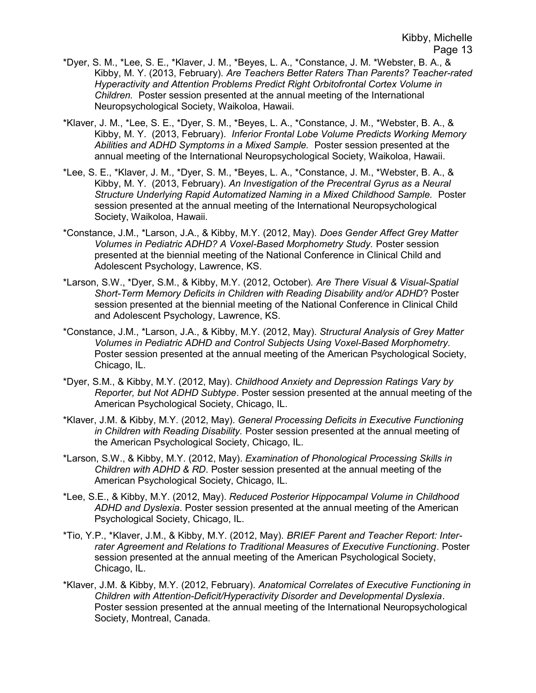- \*Dyer, S. M., \*Lee, S. E., \*Klaver, J. M., \*Beyes, L. A., \*Constance, J. M. \*Webster, B. A., & Kibby, M. Y. (2013, February). Are Teachers Better Raters Than Parents? Teacher-rated Hyperactivity and Attention Problems Predict Right Orbitofrontal Cortex Volume in Children. Poster session presented at the annual meeting of the International Neuropsychological Society, Waikoloa, Hawaii.
- \*Klaver, J. M., \*Lee, S. E., \*Dyer, S. M., \*Beyes, L. A., \*Constance, J. M., \*Webster, B. A., & Kibby, M. Y. (2013, February). Inferior Frontal Lobe Volume Predicts Working Memory Abilities and ADHD Symptoms in a Mixed Sample. Poster session presented at the annual meeting of the International Neuropsychological Society, Waikoloa, Hawaii.
- \*Lee, S. E., \*Klaver, J. M., \*Dyer, S. M., \*Beyes, L. A., \*Constance, J. M., \*Webster, B. A., & Kibby, M. Y. (2013, February). An Investigation of the Precentral Gyrus as a Neural Structure Underlying Rapid Automatized Naming in a Mixed Childhood Sample. Poster session presented at the annual meeting of the International Neuropsychological Society, Waikoloa, Hawaii.
- \*Constance, J.M., \*Larson, J.A., & Kibby, M.Y. (2012, May). Does Gender Affect Grey Matter Volumes in Pediatric ADHD? A Voxel-Based Morphometry Study. Poster session presented at the biennial meeting of the National Conference in Clinical Child and Adolescent Psychology, Lawrence, KS.
- \*Larson, S.W., \*Dyer, S.M., & Kibby, M.Y. (2012, October). Are There Visual & Visual-Spatial Short-Term Memory Deficits in Children with Reading Disability and/or ADHD? Poster session presented at the biennial meeting of the National Conference in Clinical Child and Adolescent Psychology, Lawrence, KS.
- \*Constance, J.M., \*Larson, J.A., & Kibby, M.Y. (2012, May). Structural Analysis of Grey Matter Volumes in Pediatric ADHD and Control Subjects Using Voxel-Based Morphometry. Poster session presented at the annual meeting of the American Psychological Society, Chicago, IL.
- \*Dyer, S.M., & Kibby, M.Y. (2012, May). Childhood Anxiety and Depression Ratings Vary by Reporter, but Not ADHD Subtype. Poster session presented at the annual meeting of the American Psychological Society, Chicago, IL.
- \*Klaver, J.M. & Kibby, M.Y. (2012, May). General Processing Deficits in Executive Functioning in Children with Reading Disability. Poster session presented at the annual meeting of the American Psychological Society, Chicago, IL.
- \*Larson, S.W., & Kibby, M.Y. (2012, May). Examination of Phonological Processing Skills in Children with ADHD & RD. Poster session presented at the annual meeting of the American Psychological Society, Chicago, IL.
- \*Lee, S.E., & Kibby, M.Y. (2012, May). Reduced Posterior Hippocampal Volume in Childhood ADHD and Dyslexia. Poster session presented at the annual meeting of the American Psychological Society, Chicago, IL.
- \*Tio, Y.P., \*Klaver, J.M., & Kibby, M.Y. (2012, May). BRIEF Parent and Teacher Report: Interrater Agreement and Relations to Traditional Measures of Executive Functioning. Poster session presented at the annual meeting of the American Psychological Society, Chicago, IL.
- \*Klaver, J.M. & Kibby, M.Y. (2012, February). Anatomical Correlates of Executive Functioning in Children with Attention-Deficit/Hyperactivity Disorder and Developmental Dyslexia. Poster session presented at the annual meeting of the International Neuropsychological Society, Montreal, Canada.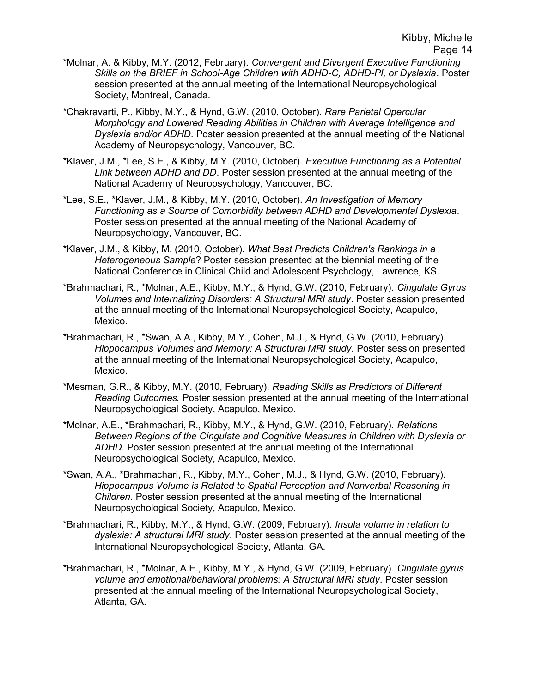- \*Molnar, A. & Kibby, M.Y. (2012, February). Convergent and Divergent Executive Functioning Skills on the BRIEF in School-Age Children with ADHD-C, ADHD-PI, or Dyslexia. Poster session presented at the annual meeting of the International Neuropsychological Society, Montreal, Canada.
- \*Chakravarti, P., Kibby, M.Y., & Hynd, G.W. (2010, October). Rare Parietal Opercular Morphology and Lowered Reading Abilities in Children with Average Intelligence and Dyslexia and/or ADHD. Poster session presented at the annual meeting of the National Academy of Neuropsychology, Vancouver, BC.
- \*Klaver, J.M., \*Lee, S.E., & Kibby, M.Y. (2010, October). Executive Functioning as a Potential Link between ADHD and DD. Poster session presented at the annual meeting of the National Academy of Neuropsychology, Vancouver, BC.
- \*Lee, S.E., \*Klaver, J.M., & Kibby, M.Y. (2010, October). An Investigation of Memory Functioning as a Source of Comorbidity between ADHD and Developmental Dyslexia. Poster session presented at the annual meeting of the National Academy of Neuropsychology, Vancouver, BC.
- \*Klaver, J.M., & Kibby, M. (2010, October). What Best Predicts Children's Rankings in a Heterogeneous Sample? Poster session presented at the biennial meeting of the National Conference in Clinical Child and Adolescent Psychology, Lawrence, KS.
- \*Brahmachari, R., \*Molnar, A.E., Kibby, M.Y., & Hynd, G.W. (2010, February). Cingulate Gyrus Volumes and Internalizing Disorders: A Structural MRI study. Poster session presented at the annual meeting of the International Neuropsychological Society, Acapulco, Mexico.
- \*Brahmachari, R., \*Swan, A.A., Kibby, M.Y., Cohen, M.J., & Hynd, G.W. (2010, February). Hippocampus Volumes and Memory: A Structural MRI study. Poster session presented at the annual meeting of the International Neuropsychological Society, Acapulco, Mexico.
- \*Mesman, G.R., & Kibby, M.Y. (2010, February). Reading Skills as Predictors of Different Reading Outcomes. Poster session presented at the annual meeting of the International Neuropsychological Society, Acapulco, Mexico.
- \*Molnar, A.E., \*Brahmachari, R., Kibby, M.Y., & Hynd, G.W. (2010, February). Relations Between Regions of the Cingulate and Cognitive Measures in Children with Dyslexia or ADHD. Poster session presented at the annual meeting of the International Neuropsychological Society, Acapulco, Mexico.
- \*Swan, A.A., \*Brahmachari, R., Kibby, M.Y., Cohen, M.J., & Hynd, G.W. (2010, February). Hippocampus Volume is Related to Spatial Perception and Nonverbal Reasoning in Children. Poster session presented at the annual meeting of the International Neuropsychological Society, Acapulco, Mexico.
- \*Brahmachari, R., Kibby, M.Y., & Hynd, G.W. (2009, February). Insula volume in relation to dyslexia: A structural MRI study. Poster session presented at the annual meeting of the International Neuropsychological Society, Atlanta, GA.
- \*Brahmachari, R., \*Molnar, A.E., Kibby, M.Y., & Hynd, G.W. (2009, February). Cingulate gyrus volume and emotional/behavioral problems: A Structural MRI study. Poster session presented at the annual meeting of the International Neuropsychological Society, Atlanta, GA.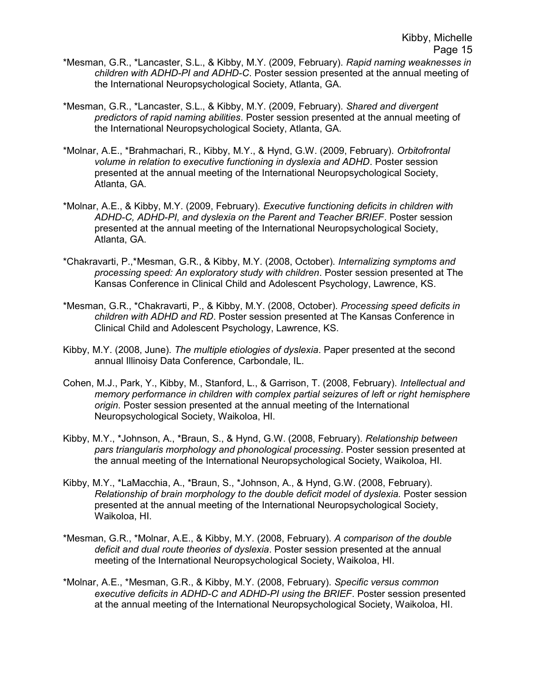- \*Mesman, G.R., \*Lancaster, S.L., & Kibby, M.Y. (2009, February). Rapid naming weaknesses in children with ADHD-PI and ADHD-C. Poster session presented at the annual meeting of the International Neuropsychological Society, Atlanta, GA.
- \*Mesman, G.R., \*Lancaster, S.L., & Kibby, M.Y. (2009, February). Shared and divergent predictors of rapid naming abilities. Poster session presented at the annual meeting of the International Neuropsychological Society, Atlanta, GA.
- \*Molnar, A.E., \*Brahmachari, R., Kibby, M.Y., & Hynd, G.W. (2009, February). Orbitofrontal volume in relation to executive functioning in dyslexia and ADHD. Poster session presented at the annual meeting of the International Neuropsychological Society, Atlanta, GA.
- \*Molnar, A.E., & Kibby, M.Y. (2009, February). Executive functioning deficits in children with ADHD-C, ADHD-PI, and dyslexia on the Parent and Teacher BRIEF. Poster session presented at the annual meeting of the International Neuropsychological Society, Atlanta, GA.
- \*Chakravarti, P.,\*Mesman, G.R., & Kibby, M.Y. (2008, October). Internalizing symptoms and processing speed: An exploratory study with children. Poster session presented at The Kansas Conference in Clinical Child and Adolescent Psychology, Lawrence, KS.
- \*Mesman, G.R., \*Chakravarti, P., & Kibby, M.Y. (2008, October). Processing speed deficits in children with ADHD and RD. Poster session presented at The Kansas Conference in Clinical Child and Adolescent Psychology, Lawrence, KS.
- Kibby, M.Y. (2008, June). The multiple etiologies of dyslexia. Paper presented at the second annual Illinoisy Data Conference, Carbondale, IL.
- Cohen, M.J., Park, Y., Kibby, M., Stanford, L., & Garrison, T. (2008, February). Intellectual and memory performance in children with complex partial seizures of left or right hemisphere origin. Poster session presented at the annual meeting of the International Neuropsychological Society, Waikoloa, HI.
- Kibby, M.Y., \*Johnson, A., \*Braun, S., & Hynd, G.W. (2008, February). Relationship between pars triangularis morphology and phonological processing. Poster session presented at the annual meeting of the International Neuropsychological Society, Waikoloa, HI.
- Kibby, M.Y., \*LaMacchia, A., \*Braun, S., \*Johnson, A., & Hynd, G.W. (2008, February). Relationship of brain morphology to the double deficit model of dyslexia. Poster session presented at the annual meeting of the International Neuropsychological Society, Waikoloa, HI.
- \*Mesman, G.R., \*Molnar, A.E., & Kibby, M.Y. (2008, February). A comparison of the double deficit and dual route theories of dyslexia. Poster session presented at the annual meeting of the International Neuropsychological Society, Waikoloa, HI.
- \*Molnar, A.E., \*Mesman, G.R., & Kibby, M.Y. (2008, February). Specific versus common executive deficits in ADHD-C and ADHD-PI using the BRIEF. Poster session presented at the annual meeting of the International Neuropsychological Society, Waikoloa, HI.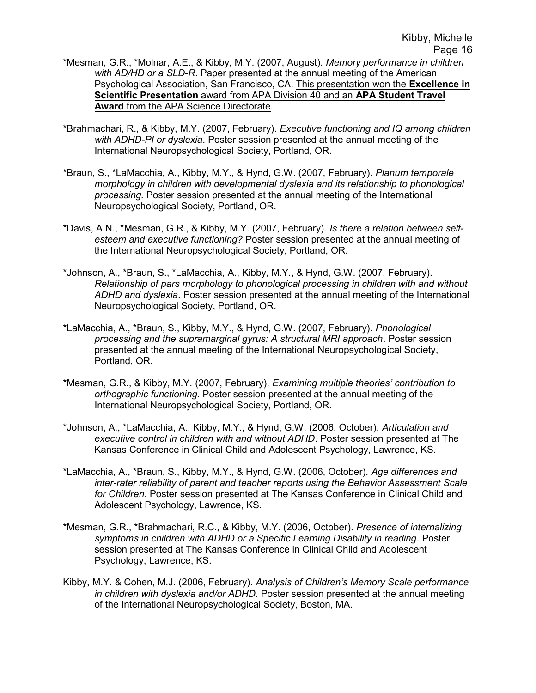- \*Mesman, G.R., \*Molnar, A.E., & Kibby, M.Y. (2007, August). Memory performance in children with AD/HD or a SLD-R. Paper presented at the annual meeting of the American Psychological Association, San Francisco, CA. This presentation won the Excellence in Scientific Presentation award from APA Division 40 and an APA Student Travel Award from the APA Science Directorate.
- \*Brahmachari, R., & Kibby, M.Y. (2007, February). Executive functioning and IQ among children with ADHD-PI or dyslexia. Poster session presented at the annual meeting of the International Neuropsychological Society, Portland, OR.
- \*Braun, S., \*LaMacchia, A., Kibby, M.Y., & Hynd, G.W. (2007, February). Planum temporale morphology in children with developmental dyslexia and its relationship to phonological processing. Poster session presented at the annual meeting of the International Neuropsychological Society, Portland, OR.
- \*Davis, A.N., \*Mesman, G.R., & Kibby, M.Y. (2007, February). Is there a relation between selfesteem and executive functioning? Poster session presented at the annual meeting of the International Neuropsychological Society, Portland, OR.
- \*Johnson, A., \*Braun, S., \*LaMacchia, A., Kibby, M.Y., & Hynd, G.W. (2007, February). Relationship of pars morphology to phonological processing in children with and without ADHD and dyslexia. Poster session presented at the annual meeting of the International Neuropsychological Society, Portland, OR.
- \*LaMacchia, A., \*Braun, S., Kibby, M.Y., & Hynd, G.W. (2007, February). Phonological processing and the supramarginal gyrus: A structural MRI approach. Poster session presented at the annual meeting of the International Neuropsychological Society, Portland, OR.
- \*Mesman, G.R., & Kibby, M.Y. (2007, February). Examining multiple theories' contribution to orthographic functioning. Poster session presented at the annual meeting of the International Neuropsychological Society, Portland, OR.
- \*Johnson, A., \*LaMacchia, A., Kibby, M.Y., & Hynd, G.W. (2006, October). Articulation and executive control in children with and without ADHD. Poster session presented at The Kansas Conference in Clinical Child and Adolescent Psychology, Lawrence, KS.
- \*LaMacchia, A., \*Braun, S., Kibby, M.Y., & Hynd, G.W. (2006, October). Age differences and inter-rater reliability of parent and teacher reports using the Behavior Assessment Scale for Children. Poster session presented at The Kansas Conference in Clinical Child and Adolescent Psychology, Lawrence, KS.
- \*Mesman, G.R., \*Brahmachari, R.C., & Kibby, M.Y. (2006, October). Presence of internalizing symptoms in children with ADHD or a Specific Learning Disability in reading. Poster session presented at The Kansas Conference in Clinical Child and Adolescent Psychology, Lawrence, KS.
- Kibby, M.Y. & Cohen, M.J. (2006, February). Analysis of Children's Memory Scale performance in children with dyslexia and/or ADHD. Poster session presented at the annual meeting of the International Neuropsychological Society, Boston, MA.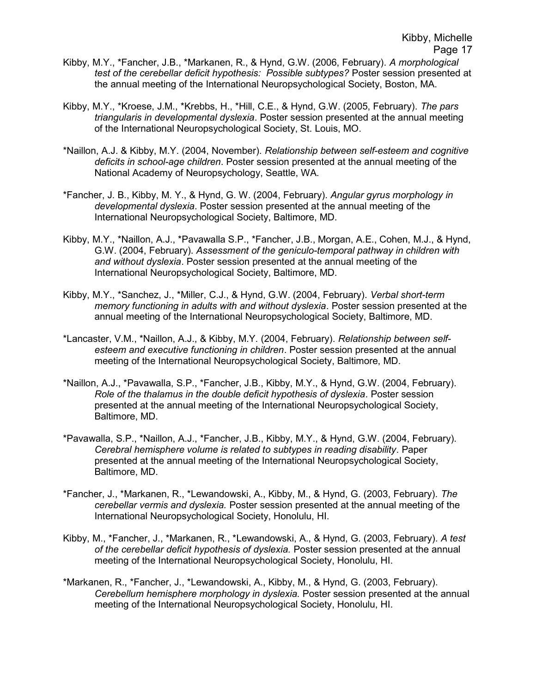- Kibby, M.Y., \*Fancher, J.B., \*Markanen, R., & Hynd, G.W. (2006, February). A morphological test of the cerebellar deficit hypothesis: Possible subtypes? Poster session presented at the annual meeting of the International Neuropsychological Society, Boston, MA.
- Kibby, M.Y., \*Kroese, J.M., \*Krebbs, H., \*Hill, C.E., & Hynd, G.W. (2005, February). The pars triangularis in developmental dyslexia. Poster session presented at the annual meeting of the International Neuropsychological Society, St. Louis, MO.
- \*Naillon, A.J. & Kibby, M.Y. (2004, November). Relationship between self-esteem and cognitive deficits in school-age children. Poster session presented at the annual meeting of the National Academy of Neuropsychology, Seattle, WA.
- \*Fancher, J. B., Kibby, M. Y., & Hynd, G. W. (2004, February). Angular gyrus morphology in developmental dyslexia. Poster session presented at the annual meeting of the International Neuropsychological Society, Baltimore, MD.
- Kibby, M.Y., \*Naillon, A.J., \*Pavawalla S.P., \*Fancher, J.B., Morgan, A.E., Cohen, M.J., & Hynd, G.W. (2004, February). Assessment of the geniculo-temporal pathway in children with and without dyslexia. Poster session presented at the annual meeting of the International Neuropsychological Society, Baltimore, MD.
- Kibby, M.Y., \*Sanchez, J., \*Miller, C.J., & Hynd, G.W. (2004, February). Verbal short-term memory functioning in adults with and without dyslexia. Poster session presented at the annual meeting of the International Neuropsychological Society, Baltimore, MD.
- \*Lancaster, V.M., \*Naillon, A.J., & Kibby, M.Y. (2004, February). Relationship between selfesteem and executive functioning in children. Poster session presented at the annual meeting of the International Neuropsychological Society, Baltimore, MD.
- \*Naillon, A.J., \*Pavawalla, S.P., \*Fancher, J.B., Kibby, M.Y., & Hynd, G.W. (2004, February). Role of the thalamus in the double deficit hypothesis of dyslexia. Poster session presented at the annual meeting of the International Neuropsychological Society, Baltimore, MD.
- \*Pavawalla, S.P., \*Naillon, A.J., \*Fancher, J.B., Kibby, M.Y., & Hynd, G.W. (2004, February). Cerebral hemisphere volume is related to subtypes in reading disability. Paper presented at the annual meeting of the International Neuropsychological Society, Baltimore, MD.
- \*Fancher, J., \*Markanen, R., \*Lewandowski, A., Kibby, M., & Hynd, G. (2003, February). The cerebellar vermis and dyslexia. Poster session presented at the annual meeting of the International Neuropsychological Society, Honolulu, HI.
- Kibby, M., \*Fancher, J., \*Markanen, R., \*Lewandowski, A., & Hynd, G. (2003, February). A test of the cerebellar deficit hypothesis of dyslexia. Poster session presented at the annual meeting of the International Neuropsychological Society, Honolulu, HI.
- \*Markanen, R., \*Fancher, J., \*Lewandowski, A., Kibby, M., & Hynd, G. (2003, February). Cerebellum hemisphere morphology in dyslexia. Poster session presented at the annual meeting of the International Neuropsychological Society, Honolulu, HI.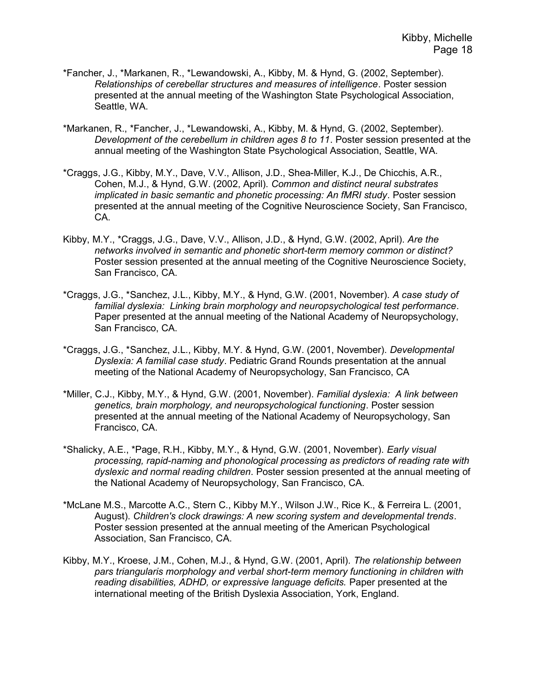- \*Fancher, J., \*Markanen, R., \*Lewandowski, A., Kibby, M. & Hynd, G. (2002, September). Relationships of cerebellar structures and measures of intelligence. Poster session presented at the annual meeting of the Washington State Psychological Association, Seattle, WA.
- \*Markanen, R., \*Fancher, J., \*Lewandowski, A., Kibby, M. & Hynd, G. (2002, September). Development of the cerebellum in children ages 8 to 11. Poster session presented at the annual meeting of the Washington State Psychological Association, Seattle, WA.
- \*Craggs, J.G., Kibby, M.Y., Dave, V.V., Allison, J.D., Shea-Miller, K.J., De Chicchis, A.R., Cohen, M.J., & Hynd, G.W. (2002, April). Common and distinct neural substrates implicated in basic semantic and phonetic processing: An fMRI study. Poster session presented at the annual meeting of the Cognitive Neuroscience Society, San Francisco, CA.
- Kibby, M.Y., \*Craggs, J.G., Dave, V.V., Allison, J.D., & Hynd, G.W. (2002, April). Are the networks involved in semantic and phonetic short-term memory common or distinct? Poster session presented at the annual meeting of the Cognitive Neuroscience Society, San Francisco, CA.
- \*Craggs, J.G., \*Sanchez, J.L., Kibby, M.Y., & Hynd, G.W. (2001, November). A case study of familial dyslexia: Linking brain morphology and neuropsychological test performance. Paper presented at the annual meeting of the National Academy of Neuropsychology, San Francisco, CA.
- \*Craggs, J.G., \*Sanchez, J.L., Kibby, M.Y. & Hynd, G.W. (2001, November). Developmental Dyslexia: A familial case study. Pediatric Grand Rounds presentation at the annual meeting of the National Academy of Neuropsychology, San Francisco, CA
- \*Miller, C.J., Kibby, M.Y., & Hynd, G.W. (2001, November). Familial dyslexia: A link between genetics, brain morphology, and neuropsychological functioning. Poster session presented at the annual meeting of the National Academy of Neuropsychology, San Francisco, CA.
- \*Shalicky, A.E., \*Page, R.H., Kibby, M.Y., & Hynd, G.W. (2001, November). Early visual processing, rapid-naming and phonological processing as predictors of reading rate with dyslexic and normal reading children. Poster session presented at the annual meeting of the National Academy of Neuropsychology, San Francisco, CA.
- \*McLane M.S., Marcotte A.C., Stern C., Kibby M.Y., Wilson J.W., Rice K., & Ferreira L. (2001, August). Children's clock drawings: A new scoring system and developmental trends. Poster session presented at the annual meeting of the American Psychological Association, San Francisco, CA.
- Kibby, M.Y., Kroese, J.M., Cohen, M.J., & Hynd, G.W. (2001, April). The relationship between pars triangularis morphology and verbal short-term memory functioning in children with reading disabilities, ADHD, or expressive language deficits. Paper presented at the international meeting of the British Dyslexia Association, York, England.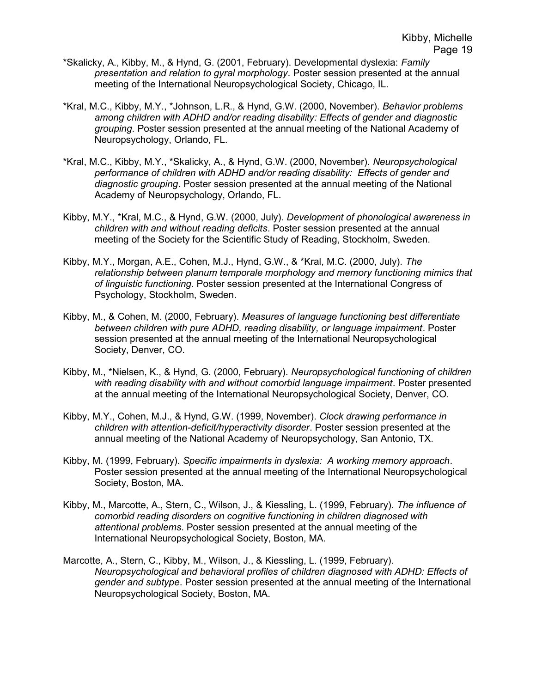- \*Skalicky, A., Kibby, M., & Hynd, G. (2001, February). Developmental dyslexia: Family presentation and relation to gyral morphology. Poster session presented at the annual meeting of the International Neuropsychological Society, Chicago, IL.
- \*Kral, M.C., Kibby, M.Y., \*Johnson, L.R., & Hynd, G.W. (2000, November). Behavior problems among children with ADHD and/or reading disability: Effects of gender and diagnostic grouping. Poster session presented at the annual meeting of the National Academy of Neuropsychology, Orlando, FL.
- \*Kral, M.C., Kibby, M.Y., \*Skalicky, A., & Hynd, G.W. (2000, November). Neuropsychological performance of children with ADHD and/or reading disability: Effects of gender and diagnostic grouping. Poster session presented at the annual meeting of the National Academy of Neuropsychology, Orlando, FL.
- Kibby, M.Y., \*Kral, M.C., & Hynd, G.W. (2000, July). Development of phonological awareness in children with and without reading deficits. Poster session presented at the annual meeting of the Society for the Scientific Study of Reading, Stockholm, Sweden.
- Kibby, M.Y., Morgan, A.E., Cohen, M.J., Hynd, G.W., & \*Kral, M.C. (2000, July). The relationship between planum temporale morphology and memory functioning mimics that of linguistic functioning. Poster session presented at the International Congress of Psychology, Stockholm, Sweden.
- Kibby, M., & Cohen, M. (2000, February). Measures of language functioning best differentiate between children with pure ADHD, reading disability, or language impairment. Poster session presented at the annual meeting of the International Neuropsychological Society, Denver, CO.
- Kibby, M., \*Nielsen, K., & Hynd, G. (2000, February). Neuropsychological functioning of children with reading disability with and without comorbid language impairment. Poster presented at the annual meeting of the International Neuropsychological Society, Denver, CO.
- Kibby, M.Y., Cohen, M.J., & Hynd, G.W. (1999, November). Clock drawing performance in children with attention-deficit/hyperactivity disorder. Poster session presented at the annual meeting of the National Academy of Neuropsychology, San Antonio, TX.
- Kibby, M. (1999, February). Specific impairments in dyslexia: A working memory approach. Poster session presented at the annual meeting of the International Neuropsychological Society, Boston, MA.
- Kibby, M., Marcotte, A., Stern, C., Wilson, J., & Kiessling, L. (1999, February). The influence of comorbid reading disorders on cognitive functioning in children diagnosed with attentional problems. Poster session presented at the annual meeting of the International Neuropsychological Society, Boston, MA.
- Marcotte, A., Stern, C., Kibby, M., Wilson, J., & Kiessling, L. (1999, February). Neuropsychological and behavioral profiles of children diagnosed with ADHD: Effects of gender and subtype. Poster session presented at the annual meeting of the International Neuropsychological Society, Boston, MA.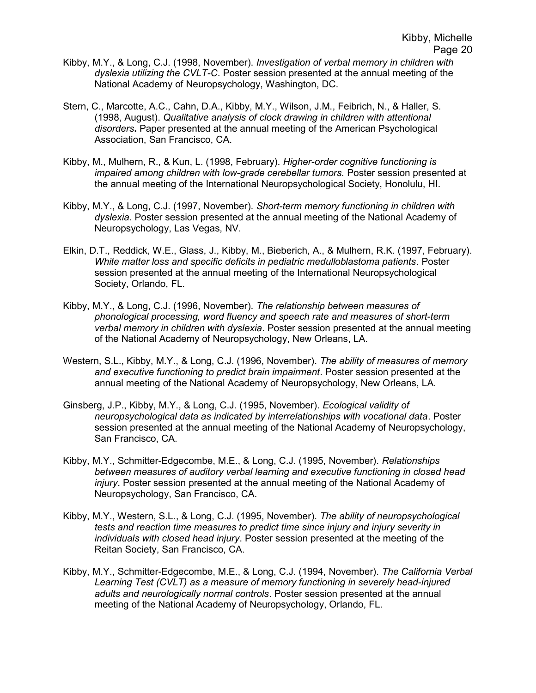- Kibby, M.Y., & Long, C.J. (1998, November). Investigation of verbal memory in children with dyslexia utilizing the CVLT-C. Poster session presented at the annual meeting of the National Academy of Neuropsychology, Washington, DC.
- Stern, C., Marcotte, A.C., Cahn, D.A., Kibby, M.Y., Wilson, J.M., Feibrich, N., & Haller, S. (1998, August). Qualitative analysis of clock drawing in children with attentional disorders. Paper presented at the annual meeting of the American Psychological Association, San Francisco, CA.
- Kibby, M., Mulhern, R., & Kun, L. (1998, February). Higher-order cognitive functioning is impaired among children with low-grade cerebellar tumors. Poster session presented at the annual meeting of the International Neuropsychological Society, Honolulu, HI.
- Kibby, M.Y., & Long, C.J. (1997, November). Short-term memory functioning in children with dyslexia. Poster session presented at the annual meeting of the National Academy of Neuropsychology, Las Vegas, NV.
- Elkin, D.T., Reddick, W.E., Glass, J., Kibby, M., Bieberich, A., & Mulhern, R.K. (1997, February). White matter loss and specific deficits in pediatric medulloblastoma patients. Poster session presented at the annual meeting of the International Neuropsychological Society, Orlando, FL.
- Kibby, M.Y., & Long, C.J. (1996, November). The relationship between measures of phonological processing, word fluency and speech rate and measures of short-term verbal memory in children with dyslexia. Poster session presented at the annual meeting of the National Academy of Neuropsychology, New Orleans, LA.
- Western, S.L., Kibby, M.Y., & Long, C.J. (1996, November). The ability of measures of memory and executive functioning to predict brain impairment. Poster session presented at the annual meeting of the National Academy of Neuropsychology, New Orleans, LA.
- Ginsberg, J.P., Kibby, M.Y., & Long, C.J. (1995, November). Ecological validity of neuropsychological data as indicated by interrelationships with vocational data. Poster session presented at the annual meeting of the National Academy of Neuropsychology, San Francisco, CA.
- Kibby, M.Y., Schmitter-Edgecombe, M.E., & Long, C.J. (1995, November). Relationships between measures of auditory verbal learning and executive functioning in closed head injury. Poster session presented at the annual meeting of the National Academy of Neuropsychology, San Francisco, CA.
- Kibby, M.Y., Western, S.L., & Long, C.J. (1995, November). The ability of neuropsychological tests and reaction time measures to predict time since injury and injury severity in individuals with closed head injury. Poster session presented at the meeting of the Reitan Society, San Francisco, CA.
- Kibby, M.Y., Schmitter-Edgecombe, M.E., & Long, C.J. (1994, November). The California Verbal Learning Test (CVLT) as a measure of memory functioning in severely head-injured adults and neurologically normal controls. Poster session presented at the annual meeting of the National Academy of Neuropsychology, Orlando, FL.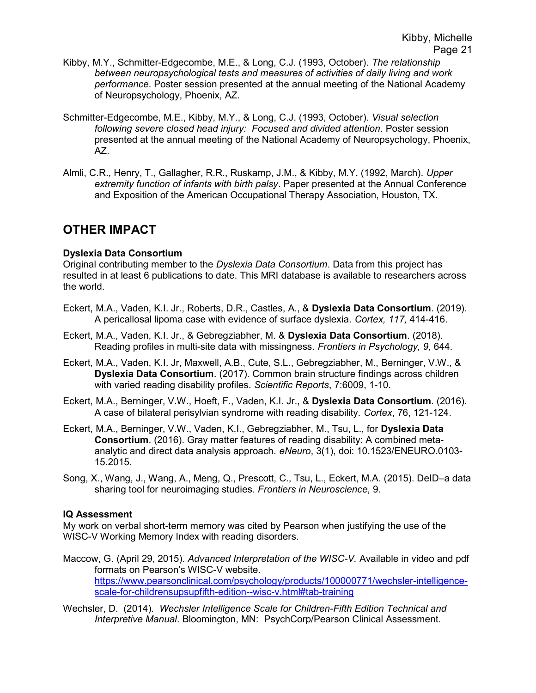- Kibby, M.Y., Schmitter-Edgecombe, M.E., & Long, C.J. (1993, October). The relationship between neuropsychological tests and measures of activities of daily living and work performance. Poster session presented at the annual meeting of the National Academy of Neuropsychology, Phoenix, AZ.
- Schmitter-Edgecombe, M.E., Kibby, M.Y., & Long, C.J. (1993, October). Visual selection following severe closed head injury: Focused and divided attention. Poster session presented at the annual meeting of the National Academy of Neuropsychology, Phoenix, AZ.
- Almli, C.R., Henry, T., Gallagher, R.R., Ruskamp, J.M., & Kibby, M.Y. (1992, March). Upper extremity function of infants with birth palsy. Paper presented at the Annual Conference and Exposition of the American Occupational Therapy Association, Houston, TX.

## OTHER IMPACT

#### Dyslexia Data Consortium

Original contributing member to the Dyslexia Data Consortium. Data from this project has resulted in at least 6 publications to date. This MRI database is available to researchers across the world.

- Eckert, M.A., Vaden, K.I. Jr., Roberts, D.R., Castles, A., & Dyslexia Data Consortium. (2019). A pericallosal lipoma case with evidence of surface dyslexia. Cortex, 117, 414-416.
- Eckert, M.A., Vaden, K.I. Jr., & Gebregziabher, M. & Dyslexia Data Consortium. (2018). Reading profiles in multi-site data with missingness. Frontiers in Psychology, 9, 644.
- Eckert, M.A., Vaden, K.I. Jr, Maxwell, A.B., Cute, S.L., Gebregziabher, M., Berninger, V.W., & Dyslexia Data Consortium. (2017). Common brain structure findings across children with varied reading disability profiles. Scientific Reports, 7:6009, 1-10.
- Eckert, M.A., Berninger, V.W., Hoeft, F., Vaden, K.I. Jr., & Dyslexia Data Consortium. (2016). A case of bilateral perisylvian syndrome with reading disability. Cortex, 76, 121-124.
- Eckert, M.A., Berninger, V.W., Vaden, K.I., Gebregziabher, M., Tsu, L., for Dyslexia Data Consortium. (2016). Gray matter features of reading disability: A combined metaanalytic and direct data analysis approach. eNeuro, 3(1), doi: 10.1523/ENEURO.0103- 15.2015.
- Song, X., Wang, J., Wang, A., Meng, Q., Prescott, C., Tsu, L., Eckert, M.A. (2015). DeID–a data sharing tool for neuroimaging studies. Frontiers in Neuroscience, 9.

#### IQ Assessment

My work on verbal short-term memory was cited by Pearson when justifying the use of the WISC-V Working Memory Index with reading disorders.

- Maccow, G. (April 29, 2015). Advanced Interpretation of the WISC-V. Available in video and pdf formats on Pearson's WISC-V website. https://www.pearsonclinical.com/psychology/products/100000771/wechsler-intelligencescale-for-childrensupsupfifth-edition--wisc-v.html#tab-training
- Wechsler, D. (2014). Wechsler Intelligence Scale for Children-Fifth Edition Technical and Interpretive Manual. Bloomington, MN: PsychCorp/Pearson Clinical Assessment.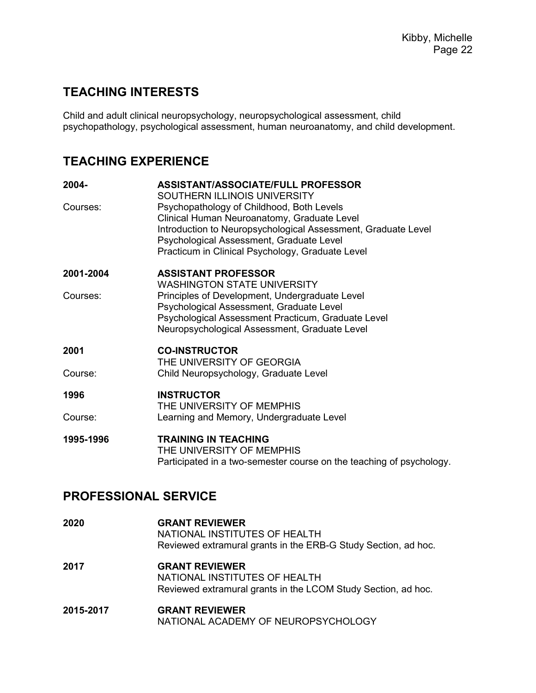## TEACHING INTERESTS

Child and adult clinical neuropsychology, neuropsychological assessment, child psychopathology, psychological assessment, human neuroanatomy, and child development.

# TEACHING EXPERIENCE

| 2004-     | ASSISTANT/ASSOCIATE/FULL PROFESSOR<br>SOUTHERN ILLINOIS UNIVERSITY                                                                                                                                                                                        |
|-----------|-----------------------------------------------------------------------------------------------------------------------------------------------------------------------------------------------------------------------------------------------------------|
| Courses:  | Psychopathology of Childhood, Both Levels<br>Clinical Human Neuroanatomy, Graduate Level<br>Introduction to Neuropsychological Assessment, Graduate Level<br>Psychological Assessment, Graduate Level<br>Practicum in Clinical Psychology, Graduate Level |
| 2001-2004 | <b>ASSISTANT PROFESSOR</b>                                                                                                                                                                                                                                |
| Courses:  | <b>WASHINGTON STATE UNIVERSITY</b><br>Principles of Development, Undergraduate Level<br>Psychological Assessment, Graduate Level<br>Psychological Assessment Practicum, Graduate Level<br>Neuropsychological Assessment, Graduate Level                   |
| 2001      | <b>CO-INSTRUCTOR</b><br>THE UNIVERSITY OF GEORGIA                                                                                                                                                                                                         |
| Course:   | Child Neuropsychology, Graduate Level                                                                                                                                                                                                                     |
| 1996      | <b>INSTRUCTOR</b><br>THE UNIVERSITY OF MEMPHIS                                                                                                                                                                                                            |
| Course:   | Learning and Memory, Undergraduate Level                                                                                                                                                                                                                  |
| 1995-1996 | <b>TRAINING IN TEACHING</b><br>THE UNIVERSITY OF MEMPHIS<br>Participated in a two-semester course on the teaching of psychology.                                                                                                                          |

## PROFESSIONAL SERVICE

| 2020      | <b>GRANT REVIEWER</b><br>NATIONAL INSTITUTES OF HEALTH<br>Reviewed extramural grants in the ERB-G Study Section, ad hoc. |
|-----------|--------------------------------------------------------------------------------------------------------------------------|
| 2017      | <b>GRANT REVIEWER</b><br>NATIONAL INSTITUTES OF HEALTH<br>Reviewed extramural grants in the LCOM Study Section, ad hoc.  |
| 2015-2017 | <b>GRANT REVIEWER</b><br>NATIONAL ACADEMY OF NEUROPSYCHOLOGY                                                             |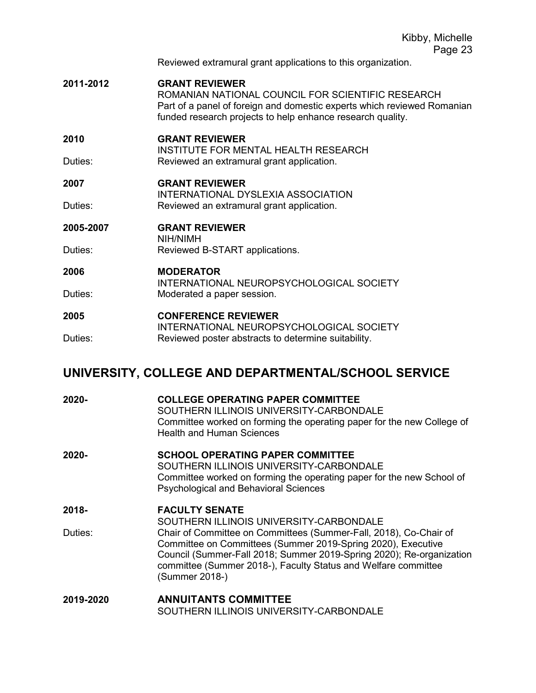Reviewed extramural grant applications to this organization.

2011-2012 GRANT REVIEWER

 ROMANIAN NATIONAL COUNCIL FOR SCIENTIFIC RESEARCH Part of a panel of foreign and domestic experts which reviewed Romanian funded research projects to help enhance research quality.

#### 2010 GRANT REVIEWER

 INSTITUTE FOR MENTAL HEALTH RESEARCH Duties: Reviewed an extramural grant application.

#### 2007 GRANT REVIEWER

 INTERNATIONAL DYSLEXIA ASSOCIATION Duties: Reviewed an extramural grant application.

### 2005-2007 GRANT REVIEWER

 NIH/NIMH Duties: Reviewed B-START applications.

### 2006 MODERATOR

INTERNATIONAL NEUROPSYCHOLOGICAL SOCIETY Duties: Moderated a paper session.

#### 2005 CONFERENCE REVIEWER INTERNATIONAL NEUROPSYCHOLOGICAL SOCIETY Duties: Reviewed poster abstracts to determine suitability.

## UNIVERSITY, COLLEGE AND DEPARTMENTAL/SCHOOL SERVICE

| 2020-            | <b>COLLEGE OPERATING PAPER COMMITTEE</b><br>SOUTHERN ILLINOIS UNIVERSITY-CARBONDALE<br>Committee worked on forming the operating paper for the new College of<br><b>Health and Human Sciences</b>                                                                                                                                                                 |
|------------------|-------------------------------------------------------------------------------------------------------------------------------------------------------------------------------------------------------------------------------------------------------------------------------------------------------------------------------------------------------------------|
| 2020-            | <b>SCHOOL OPERATING PAPER COMMITTEE</b><br>SOUTHERN ILLINOIS UNIVERSITY-CARBONDALE<br>Committee worked on forming the operating paper for the new School of<br><b>Psychological and Behavioral Sciences</b>                                                                                                                                                       |
| 2018-<br>Duties: | <b>FACULTY SENATE</b><br>SOUTHERN ILLINOIS UNIVERSITY-CARBONDALE<br>Chair of Committee on Committees (Summer-Fall, 2018), Co-Chair of<br>Committee on Committees (Summer 2019-Spring 2020), Executive<br>Council (Summer-Fall 2018; Summer 2019-Spring 2020); Re-organization<br>committee (Summer 2018-), Faculty Status and Welfare committee<br>(Summer 2018-) |
| 2019-2020        | <b>ANNUITANTS COMMITTEE</b><br>SOUTHERN ILLINOIS UNIVERSITY-CARBONDALE                                                                                                                                                                                                                                                                                            |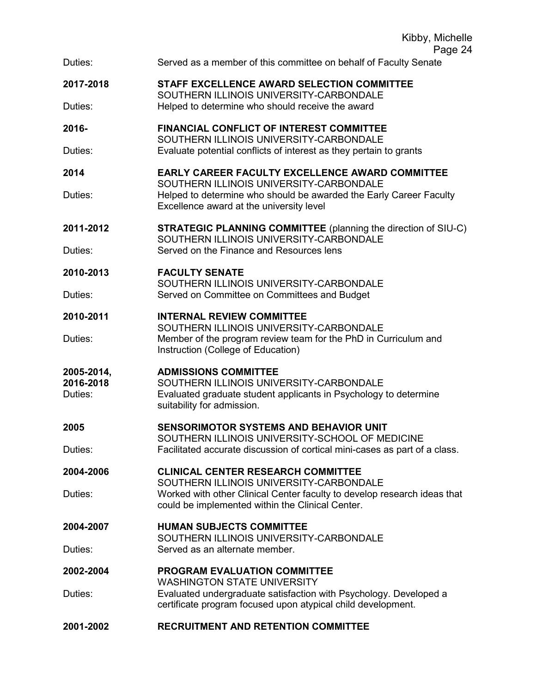|                                    | Kibby, Michelle<br>Page 24                                                                                                                                               |
|------------------------------------|--------------------------------------------------------------------------------------------------------------------------------------------------------------------------|
| Duties:                            | Served as a member of this committee on behalf of Faculty Senate                                                                                                         |
| 2017-2018<br>Duties:               | STAFF EXCELLENCE AWARD SELECTION COMMITTEE<br>SOUTHERN ILLINOIS UNIVERSITY-CARBONDALE                                                                                    |
|                                    | Helped to determine who should receive the award                                                                                                                         |
| 2016-                              | <b>FINANCIAL CONFLICT OF INTEREST COMMITTEE</b><br>SOUTHERN ILLINOIS UNIVERSITY-CARBONDALE                                                                               |
| Duties:                            | Evaluate potential conflicts of interest as they pertain to grants                                                                                                       |
| 2014                               | <b>EARLY CAREER FACULTY EXCELLENCE AWARD COMMITTEE</b><br>SOUTHERN ILLINOIS UNIVERSITY-CARBONDALE                                                                        |
| Duties:                            | Helped to determine who should be awarded the Early Career Faculty<br>Excellence award at the university level                                                           |
| 2011-2012                          | <b>STRATEGIC PLANNING COMMITTEE</b> (planning the direction of SIU-C)<br>SOUTHERN ILLINOIS UNIVERSITY-CARBONDALE                                                         |
| Duties:                            | Served on the Finance and Resources lens                                                                                                                                 |
| 2010-2013                          | <b>FACULTY SENATE</b><br>SOUTHERN ILLINOIS UNIVERSITY-CARBONDALE                                                                                                         |
| Duties:                            | Served on Committee on Committees and Budget                                                                                                                             |
| 2010-2011                          | <b>INTERNAL REVIEW COMMITTEE</b><br>SOUTHERN ILLINOIS UNIVERSITY-CARBONDALE                                                                                              |
| Duties:                            | Member of the program review team for the PhD in Curriculum and<br>Instruction (College of Education)                                                                    |
| 2005-2014,<br>2016-2018<br>Duties: | <b>ADMISSIONS COMMITTEE</b><br>SOUTHERN ILLINOIS UNIVERSITY-CARBONDALE<br>Evaluated graduate student applicants in Psychology to determine<br>suitability for admission. |
| 2005                               | <b>SENSORIMOTOR SYSTEMS AND BEHAVIOR UNIT</b>                                                                                                                            |
| Duties:                            | SOUTHERN ILLINOIS UNIVERSITY-SCHOOL OF MEDICINE<br>Facilitated accurate discussion of cortical mini-cases as part of a class.                                            |
| 2004-2006                          | <b>CLINICAL CENTER RESEARCH COMMITTEE</b><br>SOUTHERN ILLINOIS UNIVERSITY-CARBONDALE                                                                                     |
| Duties:                            | Worked with other Clinical Center faculty to develop research ideas that<br>could be implemented within the Clinical Center.                                             |
| 2004-2007                          | <b>HUMAN SUBJECTS COMMITTEE</b><br>SOUTHERN ILLINOIS UNIVERSITY-CARBONDALE                                                                                               |
| Duties:                            | Served as an alternate member.                                                                                                                                           |
| 2002-2004                          | <b>PROGRAM EVALUATION COMMITTEE</b><br><b>WASHINGTON STATE UNIVERSITY</b>                                                                                                |
| Duties:                            | Evaluated undergraduate satisfaction with Psychology. Developed a<br>certificate program focused upon atypical child development.                                        |
| 2001-2002                          | <b>RECRUITMENT AND RETENTION COMMITTEE</b>                                                                                                                               |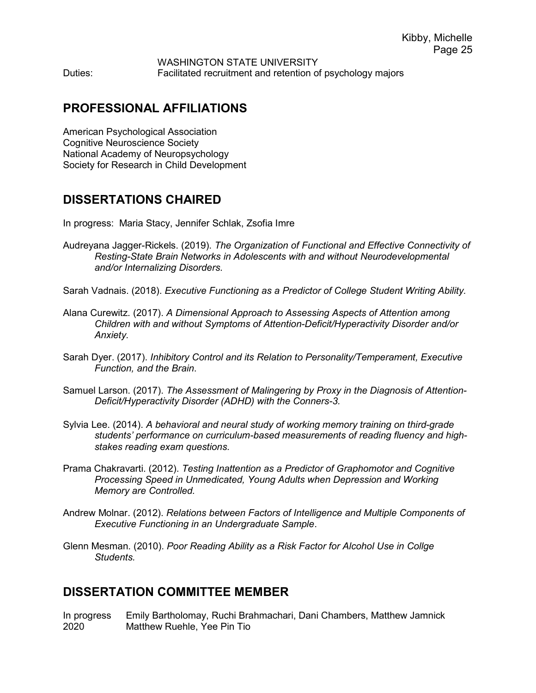WASHINGTON STATE UNIVERSITY Duties: Facilitated recruitment and retention of psychology majors

## PROFESSIONAL AFFILIATIONS

American Psychological Association Cognitive Neuroscience Society National Academy of Neuropsychology Society for Research in Child Development

### DISSERTATIONS CHAIRED

In progress: Maria Stacy, Jennifer Schlak, Zsofia Imre

- Audreyana Jagger-Rickels. (2019). The Organization of Functional and Effective Connectivity of Resting-State Brain Networks in Adolescents with and without Neurodevelopmental and/or Internalizing Disorders.
- Sarah Vadnais. (2018). Executive Functioning as a Predictor of College Student Writing Ability.
- Alana Curewitz. (2017). A Dimensional Approach to Assessing Aspects of Attention among Children with and without Symptoms of Attention-Deficit/Hyperactivity Disorder and/or Anxiety.
- Sarah Dyer. (2017). Inhibitory Control and its Relation to Personality/Temperament, Executive Function, and the Brain.
- Samuel Larson. (2017). The Assessment of Malingering by Proxy in the Diagnosis of Attention-Deficit/Hyperactivity Disorder (ADHD) with the Conners-3.
- Sylvia Lee. (2014). A behavioral and neural study of working memory training on third-grade students' performance on curriculum-based measurements of reading fluency and highstakes reading exam questions.
- Prama Chakravarti. (2012). Testing Inattention as a Predictor of Graphomotor and Cognitive Processing Speed in Unmedicated, Young Adults when Depression and Working Memory are Controlled.
- Andrew Molnar. (2012). Relations between Factors of Intelligence and Multiple Components of Executive Functioning in an Undergraduate Sample.
- Glenn Mesman. (2010). Poor Reading Ability as a Risk Factor for Alcohol Use in Collge **Students**

### DISSERTATION COMMITTEE MEMBER

In progress Emily Bartholomay, Ruchi Brahmachari, Dani Chambers, Matthew Jamnick 2020 Matthew Ruehle, Yee Pin Tio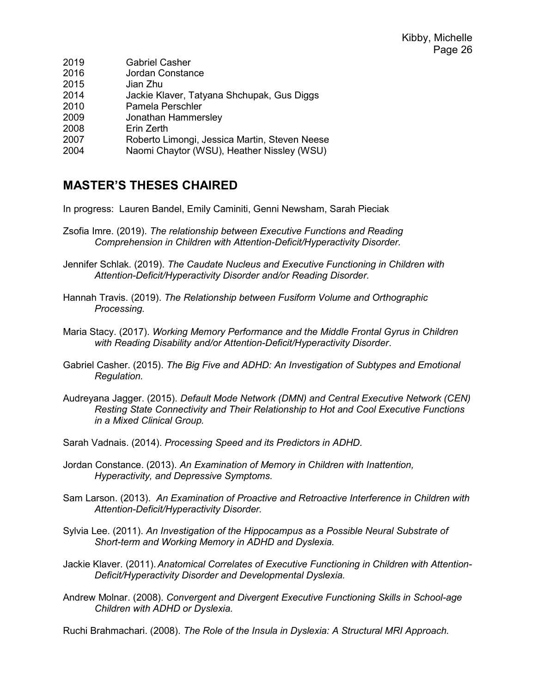| 2019 | <b>Gabriel Casher</b>                         |
|------|-----------------------------------------------|
| 2016 | Jordan Constance                              |
| 2015 | Jian Zhu                                      |
| 2014 | Jackie Klaver, Tatyana Shchupak, Gus Diggs    |
| 2010 | Pamela Perschler                              |
| 2009 | Jonathan Hammersley                           |
| 2008 | Erin Zerth                                    |
| 2007 | Roberto Limongi, Jessica Martin, Steven Neese |
| 2004 | Naomi Chaytor (WSU), Heather Nissley (WSU)    |

## MASTER'S THESES CHAIRED

In progress: Lauren Bandel, Emily Caminiti, Genni Newsham, Sarah Pieciak

- Zsofia Imre. (2019). The relationship between Executive Functions and Reading Comprehension in Children with Attention-Deficit/Hyperactivity Disorder.
- Jennifer Schlak. (2019). The Caudate Nucleus and Executive Functioning in Children with Attention-Deficit/Hyperactivity Disorder and/or Reading Disorder.
- Hannah Travis. (2019). The Relationship between Fusiform Volume and Orthographic Processing.
- Maria Stacy. (2017). Working Memory Performance and the Middle Frontal Gyrus in Children with Reading Disability and/or Attention-Deficit/Hyperactivity Disorder.
- Gabriel Casher. (2015). The Big Five and ADHD: An Investigation of Subtypes and Emotional Regulation.
- Audreyana Jagger. (2015). Default Mode Network (DMN) and Central Executive Network (CEN) Resting State Connectivity and Their Relationship to Hot and Cool Executive Functions in a Mixed Clinical Group.
- Sarah Vadnais. (2014). Processing Speed and its Predictors in ADHD.
- Jordan Constance. (2013). An Examination of Memory in Children with Inattention, Hyperactivity, and Depressive Symptoms.
- Sam Larson. (2013). An Examination of Proactive and Retroactive Interference in Children with Attention-Deficit/Hyperactivity Disorder.
- Sylvia Lee. (2011). An Investigation of the Hippocampus as a Possible Neural Substrate of Short-term and Working Memory in ADHD and Dyslexia.
- Jackie Klaver. (2011). Anatomical Correlates of Executive Functioning in Children with Attention-Deficit/Hyperactivity Disorder and Developmental Dyslexia.
- Andrew Molnar. (2008). Convergent and Divergent Executive Functioning Skills in School-age Children with ADHD or Dyslexia.

Ruchi Brahmachari. (2008). The Role of the Insula in Dyslexia: A Structural MRI Approach.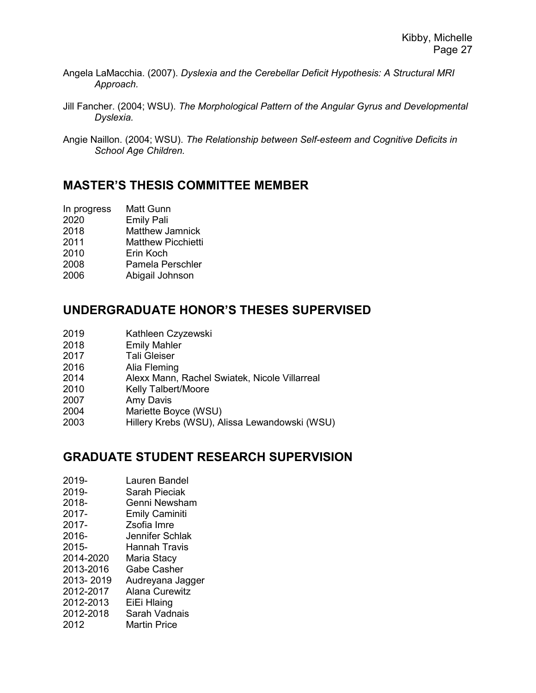- Angela LaMacchia. (2007). Dyslexia and the Cerebellar Deficit Hypothesis: A Structural MRI Approach.
- Jill Fancher. (2004; WSU). The Morphological Pattern of the Angular Gyrus and Developmental Dyslexia.
- Angie Naillon. (2004; WSU). The Relationship between Self-esteem and Cognitive Deficits in School Age Children.

### MASTER'S THESIS COMMITTEE MEMBER

- In progress Matt Gunn
- 2020 Emily Pali
- 2018 Matthew Jamnick
- 2011 Matthew Picchietti
- 2010 Erin Koch
- 2008 Pamela Perschler
- 2006 Abigail Johnson

## UNDERGRADUATE HONOR'S THESES SUPERVISED

- 2019 Kathleen Czyzewski
- 2018 Emily Mahler
- 2017 Tali Gleiser
- 2016 Alia Fleming
- 2014 Alexx Mann, Rachel Swiatek, Nicole Villarreal
- 2010 Kelly Talbert/Moore
- 2007 Amy Davis
- 2004 Mariette Boyce (WSU)
- 2003 Hillery Krebs (WSU), Alissa Lewandowski (WSU)

### GRADUATE STUDENT RESEARCH SUPERVISION

- 2019- Lauren Bandel
- 2019- Sarah Pieciak
- 2018- Genni Newsham
- 2017- Emily Caminiti
- 2017- Zsofia Imre
- 2016- Jennifer Schlak
- 2015- Hannah Travis
- 2014-2020 Maria Stacy
- 2013-2016 Gabe Casher
- 2013- 2019 Audreyana Jagger
- 2012-2017 Alana Curewitz
- 2012-2013 EiEi Hlaing
- 2012-2018 Sarah Vadnais
- 2012 Martin Price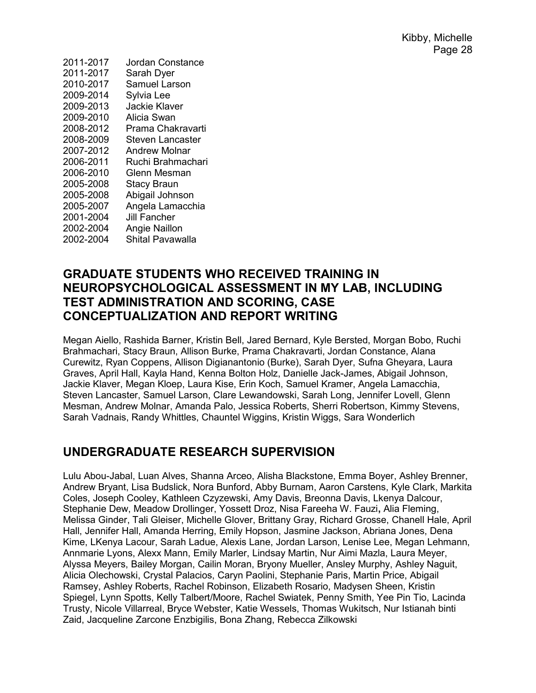| Jordan Constance        |
|-------------------------|
| Sarah Dyer              |
| <b>Samuel Larson</b>    |
| Sylvia Lee              |
| Jackie Klaver           |
| Alicia Swan             |
| Prama Chakravarti       |
| <b>Steven Lancaster</b> |
| <b>Andrew Molnar</b>    |
| Ruchi Brahmachari       |
| Glenn Mesman            |
| <b>Stacy Braun</b>      |
| Abigail Johnson         |
| Angela Lamacchia        |
| Jill Fancher            |
| Angie Naillon           |
| Shital Pavawalla        |
|                         |

### GRADUATE STUDENTS WHO RECEIVED TRAINING IN NEUROPSYCHOLOGICAL ASSESSMENT IN MY LAB, INCLUDING TEST ADMINISTRATION AND SCORING, CASE CONCEPTUALIZATION AND REPORT WRITING

Megan Aiello, Rashida Barner, Kristin Bell, Jared Bernard, Kyle Bersted, Morgan Bobo, Ruchi Brahmachari, Stacy Braun, Allison Burke, Prama Chakravarti, Jordan Constance, Alana Curewitz, Ryan Coppens, Allison Digianantonio (Burke), Sarah Dyer, Sufna Gheyara, Laura Graves, April Hall, Kayla Hand, Kenna Bolton Holz, Danielle Jack-James, Abigail Johnson, Jackie Klaver, Megan Kloep, Laura Kise, Erin Koch, Samuel Kramer, Angela Lamacchia, Steven Lancaster, Samuel Larson, Clare Lewandowski, Sarah Long, Jennifer Lovell, Glenn Mesman, Andrew Molnar, Amanda Palo, Jessica Roberts, Sherri Robertson, Kimmy Stevens, Sarah Vadnais, Randy Whittles, Chauntel Wiggins, Kristin Wiggs, Sara Wonderlich

## UNDERGRADUATE RESEARCH SUPERVISION

Lulu Abou-Jabal, Luan Alves, Shanna Arceo, Alisha Blackstone, Emma Boyer, Ashley Brenner, Andrew Bryant, Lisa Budslick, Nora Bunford, Abby Burnam, Aaron Carstens, Kyle Clark, Markita Coles, Joseph Cooley, Kathleen Czyzewski, Amy Davis, Breonna Davis, Lkenya Dalcour, Stephanie Dew, Meadow Drollinger, Yossett Droz, Nisa Fareeha W. Fauzi, Alia Fleming, Melissa Ginder, Tali Gleiser, Michelle Glover, Brittany Gray, Richard Grosse, Chanell Hale, April Hall, Jennifer Hall, Amanda Herring, Emily Hopson, Jasmine Jackson, Abriana Jones, Dena Kime, LKenya Lacour, Sarah Ladue, Alexis Lane, Jordan Larson, Lenise Lee, Megan Lehmann, Annmarie Lyons, Alexx Mann, Emily Marler, Lindsay Martin, Nur Aimi Mazla, Laura Meyer, Alyssa Meyers, Bailey Morgan, Cailin Moran, Bryony Mueller, Ansley Murphy, Ashley Naguit, Alicia Olechowski, Crystal Palacios, Caryn Paolini, Stephanie Paris, Martin Price, Abigail Ramsey, Ashley Roberts, Rachel Robinson, Elizabeth Rosario, Madysen Sheen, Kristin Spiegel, Lynn Spotts, Kelly Talbert/Moore, Rachel Swiatek, Penny Smith, Yee Pin Tio, Lacinda Trusty, Nicole Villarreal, Bryce Webster, Katie Wessels, Thomas Wukitsch, Nur Istianah binti Zaid, Jacqueline Zarcone Enzbigilis, Bona Zhang, Rebecca Zilkowski